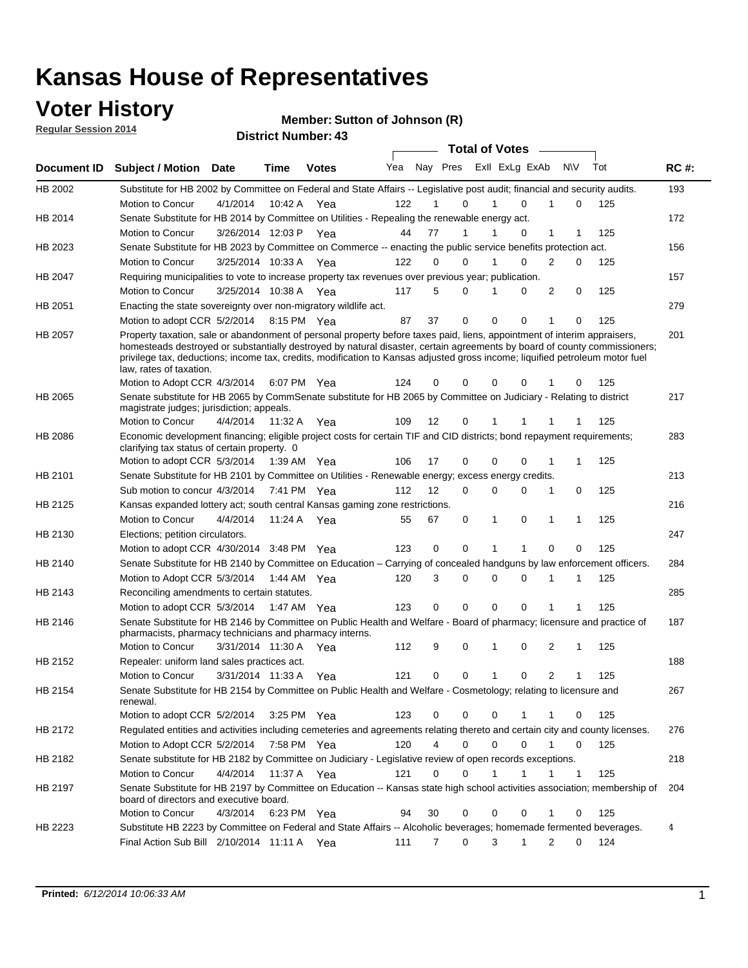### **Voter History**

**Regular Session 2014**

#### **Member: Sutton of Johnson (R)**

|             |                                                                                                                                                                                                                                                                                                                                                                                                                  |                       |             | <b>DISUILLINUIIIDEL.</b> |     |    |                  | <b>Total of Votes</b>      |   |                             |   |     |             |
|-------------|------------------------------------------------------------------------------------------------------------------------------------------------------------------------------------------------------------------------------------------------------------------------------------------------------------------------------------------------------------------------------------------------------------------|-----------------------|-------------|--------------------------|-----|----|------------------|----------------------------|---|-----------------------------|---|-----|-------------|
| Document ID | <b>Subject / Motion</b>                                                                                                                                                                                                                                                                                                                                                                                          | Date                  | Time        | <b>Votes</b>             | Yea |    |                  | Nay Pres Exll ExLg ExAb    |   | <b>NV</b>                   |   | Tot | <b>RC#:</b> |
| HB 2002     | Substitute for HB 2002 by Committee on Federal and State Affairs -- Legislative post audit; financial and security audits.                                                                                                                                                                                                                                                                                       |                       |             |                          |     |    |                  |                            |   |                             |   |     | 193         |
|             | Motion to Concur                                                                                                                                                                                                                                                                                                                                                                                                 | 4/1/2014              | 10:42 A     | Yea                      | 122 |    | 0                | $\Omega$                   |   |                             | 0 | 125 |             |
| HB 2014     | Senate Substitute for HB 2014 by Committee on Utilities - Repealing the renewable energy act.                                                                                                                                                                                                                                                                                                                    |                       |             |                          |     |    |                  |                            |   |                             |   |     | 172         |
|             | Motion to Concur                                                                                                                                                                                                                                                                                                                                                                                                 | 3/26/2014 12:03 P Yea |             |                          | 44  | 77 | 1                | 0                          |   | 1<br>1                      |   | 125 |             |
| HB 2023     | Senate Substitute for HB 2023 by Committee on Commerce -- enacting the public service benefits protection act.                                                                                                                                                                                                                                                                                                   |                       |             |                          |     |    |                  |                            |   |                             |   |     | 156         |
|             | Motion to Concur                                                                                                                                                                                                                                                                                                                                                                                                 | 3/25/2014 10:33 A Yea |             |                          | 122 |    | 0<br>0           | $\Omega$<br>1              |   | 2                           | 0 | 125 |             |
| HB 2047     | Requiring municipalities to vote to increase property tax revenues over previous year; publication.                                                                                                                                                                                                                                                                                                              |                       |             |                          |     |    |                  |                            |   |                             |   |     | 157         |
|             | Motion to Concur                                                                                                                                                                                                                                                                                                                                                                                                 | 3/25/2014 10:38 A Yea |             |                          | 117 |    | 5<br>0           | 0                          |   | 2                           | 0 | 125 |             |
| HB 2051     | Enacting the state sovereignty over non-migratory wildlife act.                                                                                                                                                                                                                                                                                                                                                  |                       |             |                          |     |    |                  |                            |   |                             |   |     | 279         |
|             | Motion to adopt CCR 5/2/2014                                                                                                                                                                                                                                                                                                                                                                                     |                       | 8:15 PM Yea |                          | 87  | 37 | $\mathbf 0$      | $\mathbf 0$<br>0           | 1 |                             | 0 | 125 |             |
| HB 2057     | Property taxation, sale or abandonment of personal property before taxes paid, liens, appointment of interim appraisers,<br>homesteads destroyed or substantially destroyed by natural disaster, certain agreements by board of county commissioners;<br>privilege tax, deductions; income tax, credits, modification to Kansas adjusted gross income; liquified petroleum motor fuel<br>law, rates of taxation. |                       |             |                          |     |    |                  |                            |   |                             |   |     | 201         |
|             | Motion to Adopt CCR 4/3/2014                                                                                                                                                                                                                                                                                                                                                                                     |                       |             | 6:07 PM Yea              | 124 | 0  | 0                | $\mathbf 0$<br>0           |   | 0                           |   | 125 |             |
| HB 2065     | Senate substitute for HB 2065 by CommSenate substitute for HB 2065 by Committee on Judiciary - Relating to district<br>magistrate judges; jurisdiction; appeals.                                                                                                                                                                                                                                                 |                       |             |                          |     |    |                  |                            |   |                             |   |     | 217         |
|             | Motion to Concur                                                                                                                                                                                                                                                                                                                                                                                                 | 4/4/2014              | 11:32 A     | Yea                      | 109 | 12 | 0                | 1                          |   |                             |   | 125 |             |
| HB 2086     | Economic development financing; eligible project costs for certain TIF and CID districts; bond repayment requirements;<br>clarifying tax status of certain property. 0                                                                                                                                                                                                                                           |                       |             |                          |     |    |                  |                            |   |                             |   |     | 283         |
|             | Motion to adopt CCR 5/3/2014                                                                                                                                                                                                                                                                                                                                                                                     |                       | 1:39 AM Yea |                          | 106 | 17 | 0                | $\mathbf 0$<br>$\Omega$    | 1 | 1                           |   | 125 |             |
| HB 2101     | Senate Substitute for HB 2101 by Committee on Utilities - Renewable energy; excess energy credits.                                                                                                                                                                                                                                                                                                               |                       |             |                          |     |    |                  |                            |   |                             |   |     | 213         |
|             | Sub motion to concur 4/3/2014                                                                                                                                                                                                                                                                                                                                                                                    |                       |             | 7:41 PM Yea              | 112 | 12 | 0                | $\mathbf 0$<br>$\mathbf 0$ |   | 1<br>0                      |   | 125 |             |
| HB 2125     | Kansas expanded lottery act; south central Kansas gaming zone restrictions.                                                                                                                                                                                                                                                                                                                                      |                       |             |                          |     |    |                  |                            |   |                             |   |     | 216         |
|             | Motion to Concur                                                                                                                                                                                                                                                                                                                                                                                                 | 4/4/2014              | 11:24 A     | Yea                      | 55  | 67 | 0                | 1<br>0                     |   | 1<br>1                      |   | 125 |             |
| HB 2130     | Elections; petition circulators.                                                                                                                                                                                                                                                                                                                                                                                 |                       |             |                          |     |    |                  |                            |   |                             |   |     | 247         |
|             | Motion to adopt CCR 4/30/2014 3:48 PM Yea                                                                                                                                                                                                                                                                                                                                                                        |                       |             |                          | 123 | 0  | 0                |                            |   | $\Omega$                    | 0 | 125 |             |
| HB 2140     | Senate Substitute for HB 2140 by Committee on Education – Carrying of concealed handguns by law enforcement officers.                                                                                                                                                                                                                                                                                            |                       |             |                          |     |    |                  |                            |   |                             |   |     | 284         |
|             | Motion to Adopt CCR 5/3/2014                                                                                                                                                                                                                                                                                                                                                                                     |                       |             | 1:44 AM Yea              | 120 |    | 3<br>0           | $\mathbf 0$<br>$\mathbf 0$ | 1 | 1                           |   | 125 |             |
| HB 2143     | Reconciling amendments to certain statutes.                                                                                                                                                                                                                                                                                                                                                                      |                       |             |                          |     |    |                  |                            |   |                             |   |     | 285         |
|             | Motion to adopt CCR 5/3/2014                                                                                                                                                                                                                                                                                                                                                                                     |                       | 1:47 AM Yea |                          | 123 |    | 0<br>0           | $\mathbf 0$<br>$\mathbf 0$ |   | 1<br>1                      |   | 125 |             |
| HB 2146     | Senate Substitute for HB 2146 by Committee on Public Health and Welfare - Board of pharmacy; licensure and practice of<br>pharmacists, pharmacy technicians and pharmacy interns.                                                                                                                                                                                                                                |                       |             |                          |     |    |                  |                            |   |                             |   |     | 187         |
|             | Motion to Concur                                                                                                                                                                                                                                                                                                                                                                                                 | 3/31/2014 11:30 A     |             | Yea                      | 112 |    | 9<br>0           | 1<br>0                     |   | 2<br>1                      |   | 125 |             |
| HB 2152     | Repealer: uniform land sales practices act.                                                                                                                                                                                                                                                                                                                                                                      |                       |             |                          |     |    |                  |                            |   |                             |   |     | 188         |
|             | Motion to Concur                                                                                                                                                                                                                                                                                                                                                                                                 | 3/31/2014 11:33 A     |             | Yea                      | 121 | 0  | 0                | 1<br>0                     |   | $\overline{2}$<br>1         |   | 125 |             |
| HB 2154     | Senate Substitute for HB 2154 by Committee on Public Health and Welfare - Cosmetology; relating to licensure and<br>renewal.                                                                                                                                                                                                                                                                                     |                       |             |                          |     |    |                  |                            |   |                             |   |     | 267         |
|             | Motion to adopt CCR 5/2/2014                                                                                                                                                                                                                                                                                                                                                                                     |                       |             | 3:25 PM Yea              | 123 |    | 0<br>0           | 0<br>1                     |   | 1                           | 0 | 125 |             |
| HB 2172     | Regulated entities and activities including cemeteries and agreements relating thereto and certain city and county licenses.                                                                                                                                                                                                                                                                                     |                       |             |                          |     |    |                  |                            |   |                             |   |     | 276         |
|             | Motion to Adopt CCR 5/2/2014                                                                                                                                                                                                                                                                                                                                                                                     |                       |             | 7:58 PM Yea              | 120 |    | 4<br>$\mathbf 0$ | $\mathbf 0$<br>$\Omega$    |   | $\mathbf{1}$<br>$\mathbf 0$ |   | 125 |             |
| HB 2182     | Senate substitute for HB 2182 by Committee on Judiciary - Legislative review of open records exceptions.                                                                                                                                                                                                                                                                                                         |                       |             |                          |     |    |                  |                            |   |                             |   |     | 218         |
|             | Motion to Concur                                                                                                                                                                                                                                                                                                                                                                                                 | 4/4/2014              | 11:37 A Yea |                          | 121 | 0  | $\mathbf 0$      | $\mathbf{1}$<br>1          |   | $\mathbf{1}$<br>1           |   | 125 |             |
| HB 2197     | Senate Substitute for HB 2197 by Committee on Education -- Kansas state high school activities association; membership of<br>board of directors and executive board.                                                                                                                                                                                                                                             |                       |             |                          |     |    |                  |                            |   |                             |   |     | 204         |
|             | Motion to Concur                                                                                                                                                                                                                                                                                                                                                                                                 | 4/3/2014              |             | 6:23 PM Yea              | 94  | 30 | 0                | 0<br>0                     |   | 1                           | 0 | 125 |             |
| HB 2223     | Substitute HB 2223 by Committee on Federal and State Affairs -- Alcoholic beverages; homemade fermented beverages.                                                                                                                                                                                                                                                                                               |                       |             |                          |     |    |                  |                            |   |                             |   |     | 4           |
|             | Final Action Sub Bill 2/10/2014 11:11 A Yea                                                                                                                                                                                                                                                                                                                                                                      |                       |             |                          | 111 |    | 0<br>7           | 3<br>1                     |   | 2                           | 0 | 124 |             |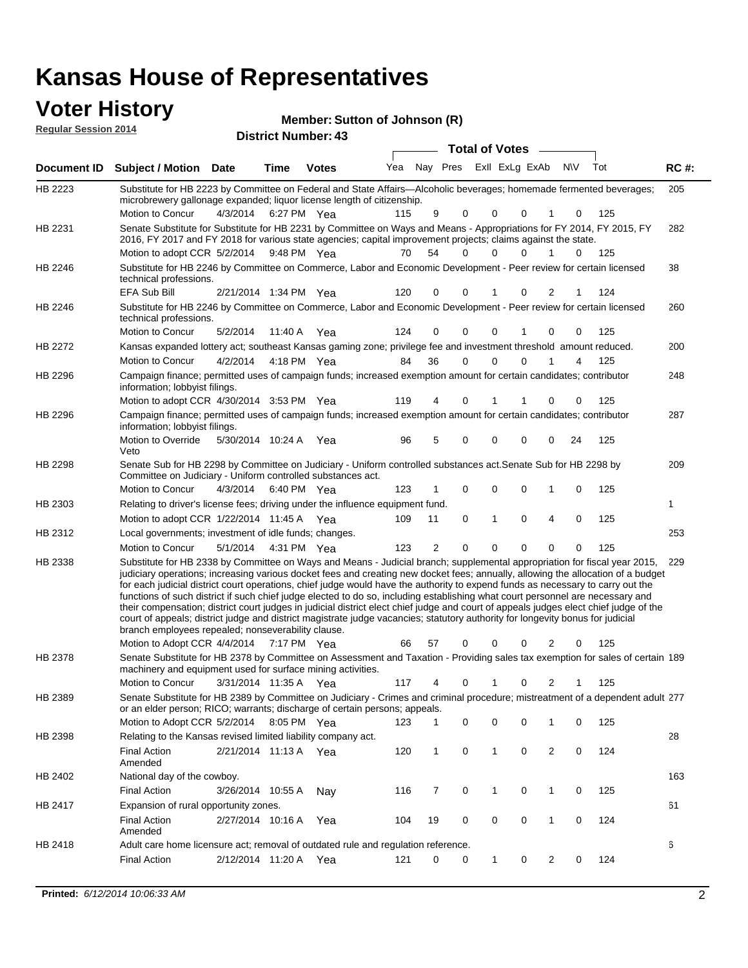# **Voter History**<br> **Regular Session 2014**

|                             |                                                                                                                                                                                                                                                                                                                                                                                                                                                                                                                                                                                                                                                                                                                                                                                                                                                                                                     |                       |             |                            | Member: Sutton of Johnson (R) |                |                         |                       |              |             |                |     |     |             |
|-----------------------------|-----------------------------------------------------------------------------------------------------------------------------------------------------------------------------------------------------------------------------------------------------------------------------------------------------------------------------------------------------------------------------------------------------------------------------------------------------------------------------------------------------------------------------------------------------------------------------------------------------------------------------------------------------------------------------------------------------------------------------------------------------------------------------------------------------------------------------------------------------------------------------------------------------|-----------------------|-------------|----------------------------|-------------------------------|----------------|-------------------------|-----------------------|--------------|-------------|----------------|-----|-----|-------------|
| <b>Regular Session 2014</b> |                                                                                                                                                                                                                                                                                                                                                                                                                                                                                                                                                                                                                                                                                                                                                                                                                                                                                                     |                       |             | <b>District Number: 43</b> |                               |                |                         |                       |              |             |                |     |     |             |
|                             |                                                                                                                                                                                                                                                                                                                                                                                                                                                                                                                                                                                                                                                                                                                                                                                                                                                                                                     |                       |             |                            |                               |                |                         | <b>Total of Votes</b> |              |             |                |     |     |             |
| Document ID                 | <b>Subject / Motion Date</b>                                                                                                                                                                                                                                                                                                                                                                                                                                                                                                                                                                                                                                                                                                                                                                                                                                                                        |                       | Time        | <b>Votes</b>               | Yea                           |                | Nay Pres Exll ExLg ExAb |                       |              |             |                | N\V | Tot | <b>RC#:</b> |
| HB 2223                     | Substitute for HB 2223 by Committee on Federal and State Affairs-Alcoholic beverages; homemade fermented beverages;<br>microbrewery gallonage expanded; liquor license length of citizenship.                                                                                                                                                                                                                                                                                                                                                                                                                                                                                                                                                                                                                                                                                                       |                       |             |                            |                               |                |                         |                       |              |             |                |     |     | 205         |
|                             | Motion to Concur                                                                                                                                                                                                                                                                                                                                                                                                                                                                                                                                                                                                                                                                                                                                                                                                                                                                                    | 4/3/2014              |             | 6:27 PM Yea                | 115                           | 9              | 0                       |                       | 0            | 0           | 1              | 0   | 125 |             |
| HB 2231                     | Senate Substitute for Substitute for HB 2231 by Committee on Ways and Means - Appropriations for FY 2014, FY 2015, FY                                                                                                                                                                                                                                                                                                                                                                                                                                                                                                                                                                                                                                                                                                                                                                               |                       |             |                            |                               |                |                         |                       |              |             |                |     |     | 282         |
|                             | 2016, FY 2017 and FY 2018 for various state agencies; capital improvement projects; claims against the state.                                                                                                                                                                                                                                                                                                                                                                                                                                                                                                                                                                                                                                                                                                                                                                                       |                       |             |                            |                               |                |                         |                       |              |             |                |     |     |             |
|                             | Motion to adopt CCR 5/2/2014                                                                                                                                                                                                                                                                                                                                                                                                                                                                                                                                                                                                                                                                                                                                                                                                                                                                        |                       | 9:48 PM Yea |                            | 70                            | 54             | 0                       |                       | 0            | 0           | 1              | 0   | 125 |             |
| HB 2246                     | Substitute for HB 2246 by Committee on Commerce, Labor and Economic Development - Peer review for certain licensed<br>technical professions.                                                                                                                                                                                                                                                                                                                                                                                                                                                                                                                                                                                                                                                                                                                                                        |                       |             |                            |                               |                |                         |                       |              |             |                |     |     | 38          |
|                             | EFA Sub Bill                                                                                                                                                                                                                                                                                                                                                                                                                                                                                                                                                                                                                                                                                                                                                                                                                                                                                        | 2/21/2014 1:34 PM Yea |             |                            | 120                           | 0              | 0                       |                       |              | 0           | 2              | 1   | 124 |             |
| HB 2246                     | Substitute for HB 2246 by Committee on Commerce, Labor and Economic Development - Peer review for certain licensed<br>technical professions.                                                                                                                                                                                                                                                                                                                                                                                                                                                                                                                                                                                                                                                                                                                                                        |                       |             |                            |                               |                |                         |                       |              |             |                |     |     | 260         |
|                             | Motion to Concur                                                                                                                                                                                                                                                                                                                                                                                                                                                                                                                                                                                                                                                                                                                                                                                                                                                                                    | 5/2/2014              |             | 11:40 A Yea                | 124                           | 0              | 0                       |                       | 0            |             | 0              | 0   | 125 |             |
| HB 2272                     | Kansas expanded lottery act; southeast Kansas gaming zone; privilege fee and investment threshold amount reduced.                                                                                                                                                                                                                                                                                                                                                                                                                                                                                                                                                                                                                                                                                                                                                                                   |                       |             |                            |                               |                |                         |                       |              |             |                |     |     | 200         |
|                             | Motion to Concur                                                                                                                                                                                                                                                                                                                                                                                                                                                                                                                                                                                                                                                                                                                                                                                                                                                                                    | 4/2/2014              |             | 4:18 PM Yea                | 84                            | 36             |                         | 0                     | $\Omega$     | $\mathbf 0$ | 1              | 4   | 125 |             |
| HB 2296                     | Campaign finance; permitted uses of campaign funds; increased exemption amount for certain candidates; contributor<br>information; lobbyist filings.                                                                                                                                                                                                                                                                                                                                                                                                                                                                                                                                                                                                                                                                                                                                                |                       |             |                            |                               |                |                         |                       |              |             |                |     |     | 248         |
|                             | Motion to adopt CCR 4/30/2014 3:53 PM Yea                                                                                                                                                                                                                                                                                                                                                                                                                                                                                                                                                                                                                                                                                                                                                                                                                                                           |                       |             |                            | 119                           | 4              | 0                       |                       |              |             | 0              | 0   | 125 |             |
| HB 2296                     | Campaign finance; permitted uses of campaign funds; increased exemption amount for certain candidates; contributor<br>information; lobbyist filings.                                                                                                                                                                                                                                                                                                                                                                                                                                                                                                                                                                                                                                                                                                                                                |                       |             |                            |                               |                |                         |                       |              |             |                |     |     | 287         |
|                             | Motion to Override<br>Veto                                                                                                                                                                                                                                                                                                                                                                                                                                                                                                                                                                                                                                                                                                                                                                                                                                                                          | 5/30/2014 10:24 A Yea |             |                            | 96                            | 5              | 0                       |                       | 0            | 0           | 0              | 24  | 125 |             |
| HB 2298                     | Senate Sub for HB 2298 by Committee on Judiciary - Uniform controlled substances act. Senate Sub for HB 2298 by<br>Committee on Judiciary - Uniform controlled substances act.                                                                                                                                                                                                                                                                                                                                                                                                                                                                                                                                                                                                                                                                                                                      |                       |             |                            |                               |                |                         |                       |              |             |                |     |     | 209         |
|                             | Motion to Concur                                                                                                                                                                                                                                                                                                                                                                                                                                                                                                                                                                                                                                                                                                                                                                                                                                                                                    | 4/3/2014              |             | 6:40 PM Yea                | 123                           |                | 0                       |                       | 0            | 0           | 1              | 0   | 125 |             |
| HB 2303                     | Relating to driver's license fees; driving under the influence equipment fund.                                                                                                                                                                                                                                                                                                                                                                                                                                                                                                                                                                                                                                                                                                                                                                                                                      |                       |             |                            |                               |                |                         |                       |              |             |                |     |     | 1           |
|                             | Motion to adopt CCR 1/22/2014 11:45 A Yea                                                                                                                                                                                                                                                                                                                                                                                                                                                                                                                                                                                                                                                                                                                                                                                                                                                           |                       |             |                            | 109                           | 11             | 0                       |                       | $\mathbf{1}$ | 0           | 4              | 0   | 125 |             |
| HB 2312                     | Local governments; investment of idle funds; changes.                                                                                                                                                                                                                                                                                                                                                                                                                                                                                                                                                                                                                                                                                                                                                                                                                                               |                       |             |                            |                               |                |                         |                       |              |             |                |     |     | 253         |
|                             | Motion to Concur                                                                                                                                                                                                                                                                                                                                                                                                                                                                                                                                                                                                                                                                                                                                                                                                                                                                                    | 5/1/2014              |             | 4:31 PM Yea                | 123                           | $\overline{2}$ | 0                       |                       | 0            | $\Omega$    | $\Omega$       | 0   | 125 |             |
| HB 2338                     | Substitute for HB 2338 by Committee on Ways and Means - Judicial branch; supplemental appropriation for fiscal year 2015,<br>judiciary operations; increasing various docket fees and creating new docket fees; annually, allowing the allocation of a budget<br>for each judicial district court operations, chief judge would have the authority to expend funds as necessary to carry out the<br>functions of such district if such chief judge elected to do so, including establishing what court personnel are necessary and<br>their compensation; district court judges in judicial district elect chief judge and court of appeals judges elect chief judge of the<br>court of appeals; district judge and district magistrate judge vacancies; statutory authority for longevity bonus for judicial<br>branch employees repealed; nonseverability clause.<br>Motion to Adopt CCR 4/4/2014 |                       | 7:17 PM Yea |                            | 66                            | 57             | 0                       |                       | 0            | 0           | 2              | 0   | 125 | 229         |
| HB 2378                     | Senate Substitute for HB 2378 by Committee on Assessment and Taxation - Providing sales tax exemption for sales of certain 189                                                                                                                                                                                                                                                                                                                                                                                                                                                                                                                                                                                                                                                                                                                                                                      |                       |             |                            |                               |                |                         |                       |              |             |                |     |     |             |
|                             | machinery and equipment used for surface mining activities.<br><b>Motion to Concur</b>                                                                                                                                                                                                                                                                                                                                                                                                                                                                                                                                                                                                                                                                                                                                                                                                              | 3/31/2014 11:35 A Yea |             |                            | 117                           | 4              | 0                       |                       |              | 0           | 2              |     | 125 |             |
| HB 2389                     | Senate Substitute for HB 2389 by Committee on Judiciary - Crimes and criminal procedure; mistreatment of a dependent adult 277<br>or an elder person; RICO; warrants; discharge of certain persons; appeals.                                                                                                                                                                                                                                                                                                                                                                                                                                                                                                                                                                                                                                                                                        |                       |             |                            |                               |                |                         |                       |              |             |                |     |     |             |
|                             | Motion to Adopt CCR 5/2/2014 8:05 PM Yea                                                                                                                                                                                                                                                                                                                                                                                                                                                                                                                                                                                                                                                                                                                                                                                                                                                            |                       |             |                            | 123                           | 1              | 0                       |                       | 0            | 0           | 1              | 0   | 125 |             |
| HB 2398                     | Relating to the Kansas revised limited liability company act.                                                                                                                                                                                                                                                                                                                                                                                                                                                                                                                                                                                                                                                                                                                                                                                                                                       |                       |             |                            |                               |                |                         |                       |              |             |                |     |     | 28          |
|                             | <b>Final Action</b><br>Amended                                                                                                                                                                                                                                                                                                                                                                                                                                                                                                                                                                                                                                                                                                                                                                                                                                                                      | 2/21/2014 11:13 A Yea |             |                            | 120                           | 1              | 0                       |                       | 1            | 0           | $\overline{c}$ | 0   | 124 |             |
| HB 2402                     | National day of the cowboy.                                                                                                                                                                                                                                                                                                                                                                                                                                                                                                                                                                                                                                                                                                                                                                                                                                                                         |                       |             |                            |                               |                |                         |                       |              |             |                |     |     | 163         |
|                             | <b>Final Action</b>                                                                                                                                                                                                                                                                                                                                                                                                                                                                                                                                                                                                                                                                                                                                                                                                                                                                                 | 3/26/2014 10:55 A     |             | Nay                        | 116                           | 7              | 0                       |                       | $\mathbf{1}$ | 0           | $\mathbf{1}$   | 0   | 125 |             |
| HB 2417                     | Expansion of rural opportunity zones.                                                                                                                                                                                                                                                                                                                                                                                                                                                                                                                                                                                                                                                                                                                                                                                                                                                               |                       |             |                            |                               |                |                         |                       |              |             |                |     |     | 61          |
|                             | <b>Final Action</b><br>Amended                                                                                                                                                                                                                                                                                                                                                                                                                                                                                                                                                                                                                                                                                                                                                                                                                                                                      | 2/27/2014 10:16 A     |             | Yea                        | 104                           | 19             | $\mathbf 0$             |                       | 0            | 0           | $\mathbf{1}$   | 0   | 124 |             |
| HB 2418                     | Adult care home licensure act; removal of outdated rule and regulation reference.                                                                                                                                                                                                                                                                                                                                                                                                                                                                                                                                                                                                                                                                                                                                                                                                                   |                       |             |                            |                               |                |                         |                       |              |             |                |     |     | 6           |

2/12/2014 Final Action Yea 124 11:20 A 121 0 0 0 20 1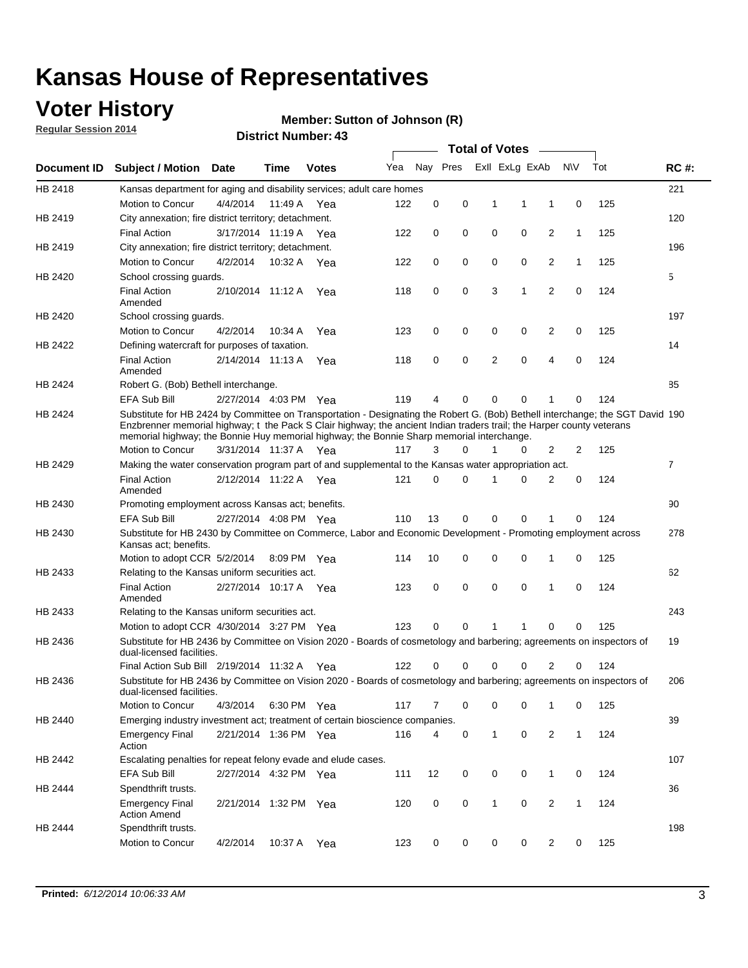### **Voter History**

**Regular Session 2014**

#### **Member: Sutton of Johnson (R)**

|             |                                                                                                                                                                                                                                                                                                                                                      |                       |             | רד. וסעווווער ועווווער |     | <b>Total of Votes</b> |   |              |                         |                |              |     |                |
|-------------|------------------------------------------------------------------------------------------------------------------------------------------------------------------------------------------------------------------------------------------------------------------------------------------------------------------------------------------------------|-----------------------|-------------|------------------------|-----|-----------------------|---|--------------|-------------------------|----------------|--------------|-----|----------------|
| Document ID | <b>Subject / Motion Date</b>                                                                                                                                                                                                                                                                                                                         |                       | Time        | <b>Votes</b>           | Yea |                       |   |              | Nay Pres ExII ExLg ExAb |                | <b>NV</b>    | Tot | <b>RC#:</b>    |
| HB 2418     | Kansas department for aging and disability services; adult care homes                                                                                                                                                                                                                                                                                |                       |             |                        |     |                       |   |              |                         |                |              |     | 221            |
|             | Motion to Concur                                                                                                                                                                                                                                                                                                                                     | 4/4/2014              | 11:49 A     | Yea                    | 122 | 0                     | 0 | 1            | 1                       | 1              | 0            | 125 |                |
| HB 2419     | City annexation; fire district territory; detachment.                                                                                                                                                                                                                                                                                                |                       |             |                        |     |                       |   |              |                         |                |              |     | 120            |
|             | <b>Final Action</b>                                                                                                                                                                                                                                                                                                                                  | 3/17/2014 11:19 A Yea |             |                        | 122 | 0                     | 0 | $\mathbf 0$  | 0                       | $\overline{2}$ | $\mathbf{1}$ | 125 |                |
| HB 2419     | City annexation; fire district territory; detachment.                                                                                                                                                                                                                                                                                                |                       |             |                        |     |                       |   |              |                         |                |              |     | 196            |
|             | Motion to Concur                                                                                                                                                                                                                                                                                                                                     | 4/2/2014              | 10:32 A Yea |                        | 122 | 0                     | 0 | 0            | 0                       | 2              | $\mathbf{1}$ | 125 |                |
| HB 2420     | School crossing quards.                                                                                                                                                                                                                                                                                                                              |                       |             |                        |     |                       |   |              |                         |                |              |     | 5              |
|             | <b>Final Action</b><br>Amended                                                                                                                                                                                                                                                                                                                       | 2/10/2014 11:12 A     |             | Yea                    | 118 | 0                     | 0 | 3            | 1                       | 2              | 0            | 124 |                |
| HB 2420     | School crossing guards.                                                                                                                                                                                                                                                                                                                              |                       |             |                        |     |                       |   |              |                         |                |              |     | 197            |
|             | Motion to Concur                                                                                                                                                                                                                                                                                                                                     | 4/2/2014              | 10:34 A     | Yea                    | 123 | 0                     | 0 | 0            | 0                       | 2              | 0            | 125 |                |
| HB 2422     | Defining watercraft for purposes of taxation.                                                                                                                                                                                                                                                                                                        |                       |             |                        |     |                       |   |              |                         |                |              |     | 14             |
|             | <b>Final Action</b><br>Amended                                                                                                                                                                                                                                                                                                                       | 2/14/2014 11:13 A     |             | Yea                    | 118 | 0                     | 0 | 2            | 0                       | 4              | $\mathbf 0$  | 124 |                |
| HB 2424     | Robert G. (Bob) Bethell interchange.                                                                                                                                                                                                                                                                                                                 |                       |             |                        |     |                       |   |              |                         |                |              |     | 85             |
|             | <b>EFA Sub Bill</b>                                                                                                                                                                                                                                                                                                                                  | 2/27/2014 4:03 PM Yea |             |                        | 119 | 4                     | 0 | 0            | 0                       | 1              | 0            | 124 |                |
| HB 2424     | Substitute for HB 2424 by Committee on Transportation - Designating the Robert G. (Bob) Bethell interchange; the SGT David 190<br>Enzbrenner memorial highway; t the Pack S Clair highway; the ancient Indian traders trail; the Harper county veterans<br>memorial highway; the Bonnie Huy memorial highway; the Bonnie Sharp memorial interchange. |                       |             |                        |     |                       |   |              |                         |                |              |     |                |
|             | Motion to Concur                                                                                                                                                                                                                                                                                                                                     | 3/31/2014 11:37 A     |             | Yea                    | 117 | 3                     | 0 | 1            | 0                       | 2              | 2            | 125 |                |
| HB 2429     | Making the water conservation program part of and supplemental to the Kansas water appropriation act.                                                                                                                                                                                                                                                |                       |             |                        |     |                       |   |              |                         |                |              |     | $\overline{7}$ |
|             | <b>Final Action</b><br>Amended                                                                                                                                                                                                                                                                                                                       | 2/12/2014 11:22 A     |             | Yea                    | 121 | $\mathbf 0$           | 0 | 1            | 0                       | $\overline{2}$ | 0            | 124 |                |
| HB 2430     | Promoting employment across Kansas act; benefits.                                                                                                                                                                                                                                                                                                    |                       |             |                        |     |                       |   |              |                         |                |              |     | 90             |
|             | EFA Sub Bill                                                                                                                                                                                                                                                                                                                                         | 2/27/2014 4:08 PM Yea |             |                        | 110 | 13                    | 0 | 0            | 0                       | 1              | 0            | 124 |                |
| HB 2430     | Substitute for HB 2430 by Committee on Commerce, Labor and Economic Development - Promoting employment across<br>Kansas act; benefits.                                                                                                                                                                                                               |                       |             |                        |     |                       |   |              |                         |                |              |     | 278            |
|             | Motion to adopt CCR 5/2/2014 8:09 PM Yea                                                                                                                                                                                                                                                                                                             |                       |             |                        | 114 | 10                    | 0 | 0            | 0                       | 1              | $\mathbf 0$  | 125 |                |
| HB 2433     | Relating to the Kansas uniform securities act.                                                                                                                                                                                                                                                                                                       |                       |             |                        |     |                       |   |              |                         |                |              |     | 62             |
|             | <b>Final Action</b><br>Amended                                                                                                                                                                                                                                                                                                                       | 2/27/2014 10:17 A Yea |             |                        | 123 | 0                     | 0 | $\mathbf 0$  | $\mathbf 0$             | 1              | $\mathbf 0$  | 124 |                |
| HB 2433     | Relating to the Kansas uniform securities act.                                                                                                                                                                                                                                                                                                       |                       |             |                        |     |                       |   |              |                         |                |              |     | 243            |
|             | Motion to adopt CCR 4/30/2014 3:27 PM Yea                                                                                                                                                                                                                                                                                                            |                       |             |                        | 123 | 0                     | 0 | 1            | 1                       | 0              | 0            | 125 |                |
| HB 2436     | Substitute for HB 2436 by Committee on Vision 2020 - Boards of cosmetology and barbering; agreements on inspectors of<br>dual-licensed facilities.                                                                                                                                                                                                   |                       |             |                        |     |                       |   |              |                         |                |              |     | 19             |
|             | Final Action Sub Bill 2/19/2014 11:32 A                                                                                                                                                                                                                                                                                                              |                       |             | Yea                    | 122 | 0                     | 0 | 0            | 0                       | 2              | 0            | 124 |                |
| HB 2436     | Substitute for HB 2436 by Committee on Vision 2020 - Boards of cosmetology and barbering; agreements on inspectors of<br>dual-licensed facilities.                                                                                                                                                                                                   |                       |             |                        |     |                       |   |              |                         |                |              |     | 206            |
|             | Motion to Concur                                                                                                                                                                                                                                                                                                                                     | 4/3/2014              |             | 6:30 PM Yea            | 117 | 7                     | 0 | 0            | 0                       | 1              | 0            | 125 |                |
| HB 2440     | Emerging industry investment act; treatment of certain bioscience companies.                                                                                                                                                                                                                                                                         |                       |             |                        |     |                       |   |              |                         |                |              |     | 39             |
|             | <b>Emergency Final</b><br>Action                                                                                                                                                                                                                                                                                                                     | 2/21/2014 1:36 PM Yea |             |                        | 116 | 4                     | 0 | $\mathbf{1}$ | 0                       | $\overline{2}$ | $\mathbf{1}$ | 124 |                |
| HB 2442     | Escalating penalties for repeat felony evade and elude cases.                                                                                                                                                                                                                                                                                        |                       |             |                        |     |                       |   |              |                         |                |              |     | 107            |
|             | EFA Sub Bill                                                                                                                                                                                                                                                                                                                                         | 2/27/2014 4:32 PM Yea |             |                        | 111 | 12                    | 0 | 0            | 0                       | $\mathbf{1}$   | 0            | 124 |                |
| HB 2444     | Spendthrift trusts.                                                                                                                                                                                                                                                                                                                                  |                       |             |                        |     |                       |   |              |                         |                |              |     | 36             |
|             | <b>Emergency Final</b><br><b>Action Amend</b>                                                                                                                                                                                                                                                                                                        | 2/21/2014 1:32 PM Yea |             |                        | 120 | 0                     | 0 | 1            | 0                       | $\overline{2}$ | 1            | 124 |                |
| HB 2444     | Spendthrift trusts.                                                                                                                                                                                                                                                                                                                                  |                       |             |                        |     |                       |   |              |                         |                |              |     | 198            |
|             | Motion to Concur                                                                                                                                                                                                                                                                                                                                     | 4/2/2014              | 10:37 A     | Yea                    | 123 | 0                     | 0 | 0            | 0                       | $\overline{2}$ | 0            | 125 |                |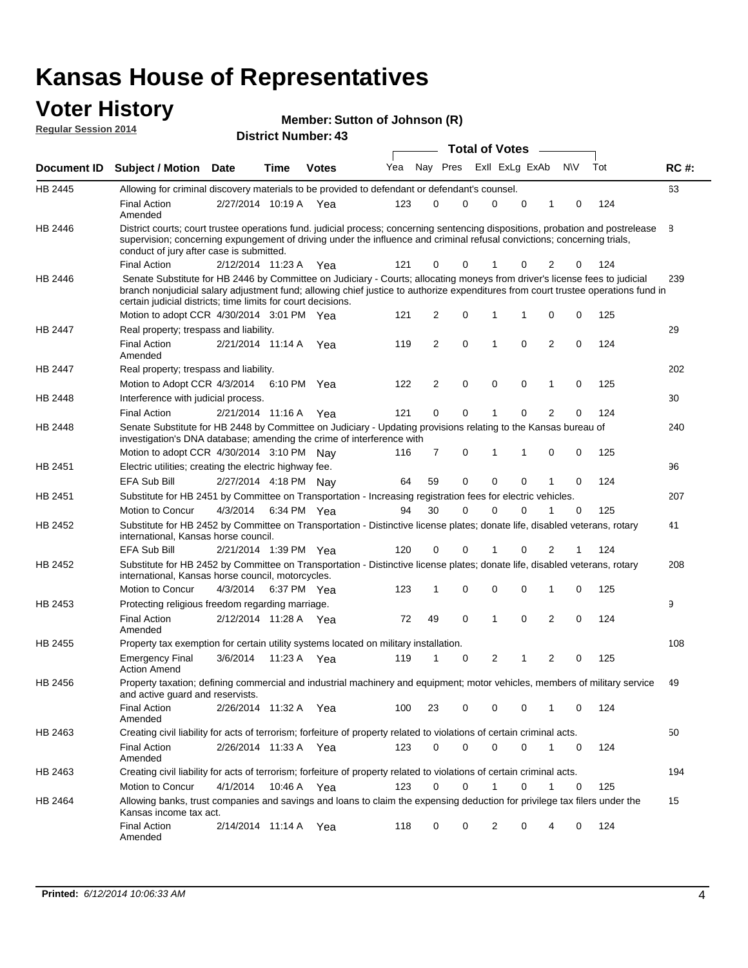#### **Voter History Regular Session 2014**

| Member: Sutton of Johnson (R) |  |  |  |
|-------------------------------|--|--|--|
|-------------------------------|--|--|--|

|                |                                                                                                                                                                                                                                                                                                                                 |                       |         |              |     |          |             | <b>Total of Votes</b> |             |                |             |     |             |
|----------------|---------------------------------------------------------------------------------------------------------------------------------------------------------------------------------------------------------------------------------------------------------------------------------------------------------------------------------|-----------------------|---------|--------------|-----|----------|-------------|-----------------------|-------------|----------------|-------------|-----|-------------|
|                | Document ID Subject / Motion Date                                                                                                                                                                                                                                                                                               |                       | Time    | <b>Votes</b> | Yea | Nay Pres |             | Exll ExLg ExAb        |             |                | <b>NV</b>   | Tot | <b>RC#:</b> |
| HB 2445        | Allowing for criminal discovery materials to be provided to defendant or defendant's counsel.                                                                                                                                                                                                                                   |                       |         |              |     |          |             |                       |             |                |             |     | 63          |
|                | <b>Final Action</b><br>Amended                                                                                                                                                                                                                                                                                                  | 2/27/2014 10:19 A     |         | Yea          | 123 | 0        | 0           | 0                     | 0           | 1              | 0           | 124 |             |
| HB 2446        | District courts; court trustee operations fund. judicial process; concerning sentencing dispositions, probation and postrelease<br>supervision; concerning expungement of driving under the influence and criminal refusal convictions; concerning trials,<br>conduct of jury after case is submitted.                          |                       |         |              |     |          |             |                       |             |                |             |     | 8           |
|                | <b>Final Action</b>                                                                                                                                                                                                                                                                                                             | 2/12/2014 11:23 A Yea |         |              | 121 | 0        | 0           | 1                     | 0           | 2              | 0           | 124 |             |
| <b>HB 2446</b> | Senate Substitute for HB 2446 by Committee on Judiciary - Courts; allocating moneys from driver's license fees to judicial<br>branch nonjudicial salary adjustment fund; allowing chief justice to authorize expenditures from court trustee operations fund in<br>certain judicial districts; time limits for court decisions. |                       |         |              |     |          |             |                       |             |                |             |     | 239         |
|                | Motion to adopt CCR 4/30/2014 3:01 PM Yea                                                                                                                                                                                                                                                                                       |                       |         |              | 121 | 2        | 0           | 1                     | 1           | 0              | 0           | 125 |             |
| <b>HB 2447</b> | Real property; trespass and liability.                                                                                                                                                                                                                                                                                          |                       |         |              |     |          |             |                       |             |                |             |     | 29          |
|                | <b>Final Action</b><br>Amended                                                                                                                                                                                                                                                                                                  | 2/21/2014 11:14 A     |         | Yea          | 119 | 2        | $\mathbf 0$ | $\mathbf{1}$          | 0           | 2              | 0           | 124 |             |
| HB 2447        | Real property; trespass and liability.                                                                                                                                                                                                                                                                                          |                       |         |              |     |          |             |                       |             |                |             |     | 202         |
|                | Motion to Adopt CCR 4/3/2014                                                                                                                                                                                                                                                                                                    |                       |         | 6:10 PM Yea  | 122 | 2        | $\mathbf 0$ | 0                     | $\mathbf 0$ | 1              | 0           | 125 |             |
| HB 2448        | Interference with judicial process.                                                                                                                                                                                                                                                                                             |                       |         |              |     |          |             |                       |             |                |             |     | 30          |
|                | <b>Final Action</b>                                                                                                                                                                                                                                                                                                             | 2/21/2014 11:16 A     |         | Yea          | 121 | 0        | 0           | 1                     | 0           | $\overline{2}$ | 0           | 124 |             |
| HB 2448        | Senate Substitute for HB 2448 by Committee on Judiciary - Updating provisions relating to the Kansas bureau of<br>investigation's DNA database; amending the crime of interference with                                                                                                                                         |                       |         |              |     |          |             |                       |             |                |             |     | 240         |
|                | Motion to adopt CCR 4/30/2014 3:10 PM Nav                                                                                                                                                                                                                                                                                       |                       |         |              | 116 | 7        | 0           | $\mathbf{1}$          | 1           | 0              | 0           | 125 |             |
| HB 2451        | Electric utilities; creating the electric highway fee.                                                                                                                                                                                                                                                                          |                       |         |              |     |          |             |                       |             |                |             |     | 96          |
|                | EFA Sub Bill                                                                                                                                                                                                                                                                                                                    | 2/27/2014 4:18 PM Nav |         |              | 64  | 59       | 0           | $\mathbf 0$           | 0           | 1              | 0           | 124 |             |
| HB 2451        | Substitute for HB 2451 by Committee on Transportation - Increasing registration fees for electric vehicles.                                                                                                                                                                                                                     |                       |         |              |     |          |             |                       |             |                |             |     | 207         |
|                | Motion to Concur                                                                                                                                                                                                                                                                                                                | 4/3/2014              |         | 6:34 PM Yea  | 94  | 30       | 0           | $\Omega$              | 0           | 1              | 0           | 125 |             |
| HB 2452        | Substitute for HB 2452 by Committee on Transportation - Distinctive license plates; donate life, disabled veterans, rotary<br>international, Kansas horse council.                                                                                                                                                              |                       |         |              |     |          |             |                       |             |                |             |     | 41          |
|                | EFA Sub Bill                                                                                                                                                                                                                                                                                                                    | 2/21/2014 1:39 PM Yea |         |              | 120 | 0        | 0           |                       | 0           | 2              | 1           | 124 |             |
| HB 2452        | Substitute for HB 2452 by Committee on Transportation - Distinctive license plates; donate life, disabled veterans, rotary<br>international, Kansas horse council, motorcycles.                                                                                                                                                 |                       |         |              |     |          |             |                       |             |                |             |     | 208         |
|                | Motion to Concur                                                                                                                                                                                                                                                                                                                | 4/3/2014              |         | 6:37 PM Yea  | 123 | 1        | 0           | 0                     | 0           | 1              | 0           | 125 |             |
| HB 2453        | Protecting religious freedom regarding marriage.                                                                                                                                                                                                                                                                                |                       |         |              |     |          |             |                       |             |                |             |     | 9           |
|                | <b>Final Action</b><br>Amended                                                                                                                                                                                                                                                                                                  | 2/12/2014 11:28 A Yea |         |              | 72  | 49       | 0           | $\mathbf{1}$          | $\Omega$    | 2              | 0           | 124 |             |
| HB 2455        | Property tax exemption for certain utility systems located on military installation.                                                                                                                                                                                                                                            |                       |         |              |     |          |             |                       |             |                |             |     | 108         |
|                | <b>Emergency Final</b><br><b>Action Amend</b>                                                                                                                                                                                                                                                                                   | 3/6/2014              | 11:23 A | Yea          | 119 | 1        | 0           | 2                     | 1           | 2              | 0           | 125 |             |
| HB 2456        | Property taxation; defining commercial and industrial machinery and equipment; motor vehicles, members of military service<br>and active guard and reservists.                                                                                                                                                                  |                       |         |              |     |          |             |                       |             |                |             |     | 49          |
|                | <b>Final Action</b><br>Amended                                                                                                                                                                                                                                                                                                  | 2/26/2014 11:32 A Yea |         |              | 100 | 23       | 0           | 0                     | 0           | 1              | 0           | 124 |             |
| HB 2463        | Creating civil liability for acts of terrorism; forfeiture of property related to violations of certain criminal acts.                                                                                                                                                                                                          |                       |         |              |     |          |             |                       |             |                |             |     | 50          |
|                | <b>Final Action</b><br>Amended                                                                                                                                                                                                                                                                                                  | 2/26/2014 11:33 A Yea |         |              | 123 | 0        | 0           | 0                     | 0           | $\mathbf{1}$   | 0           | 124 |             |
| HB 2463        | Creating civil liability for acts of terrorism; forfeiture of property related to violations of certain criminal acts.                                                                                                                                                                                                          |                       |         |              |     |          |             |                       |             |                |             |     | 194         |
|                | Motion to Concur                                                                                                                                                                                                                                                                                                                | 4/1/2014              |         | 10:46 A Yea  | 123 | 0        | 0           | $\mathbf{1}$          | $\mathbf 0$ | $\mathbf{1}$   | $\mathbf 0$ | 125 |             |
| HB 2464        | Allowing banks, trust companies and savings and loans to claim the expensing deduction for privilege tax filers under the<br>Kansas income tax act.                                                                                                                                                                             |                       |         |              |     |          |             |                       |             |                |             |     | 15          |
|                | <b>Final Action</b><br>Amended                                                                                                                                                                                                                                                                                                  | 2/14/2014 11:14 A Yea |         |              | 118 | 0        | 0           | 2                     | 0           | 4              | 0           | 124 |             |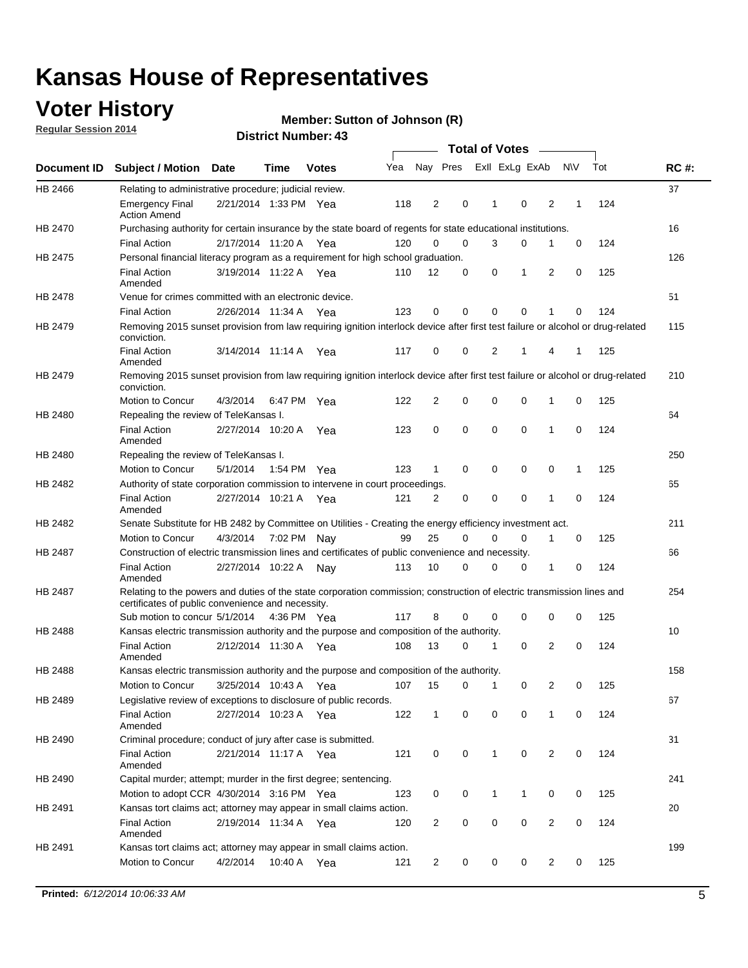### **Voter History**

**Regular Session 2014**

#### **Member: Sutton of Johnson (R)**

|                |                                                                                                                                                                             |                       |             |              |     |              |             | <b>Total of Votes</b> |             |                |             |     |             |
|----------------|-----------------------------------------------------------------------------------------------------------------------------------------------------------------------------|-----------------------|-------------|--------------|-----|--------------|-------------|-----------------------|-------------|----------------|-------------|-----|-------------|
|                | Document ID Subject / Motion Date                                                                                                                                           |                       | Time        | <b>Votes</b> | Yea | Nay Pres     |             | Exll ExLg ExAb        |             |                | <b>NV</b>   | Tot | <b>RC#:</b> |
| HB 2466        | Relating to administrative procedure; judicial review.                                                                                                                      |                       |             |              |     |              |             |                       |             |                |             |     | 37          |
|                | <b>Emergency Final</b><br><b>Action Amend</b>                                                                                                                               | 2/21/2014 1:33 PM Yea |             |              | 118 | 2            | 0           | 1                     | $\mathbf 0$ | 2              | 1           | 124 |             |
| HB 2470        | Purchasing authority for certain insurance by the state board of regents for state educational institutions.                                                                |                       |             |              |     |              |             |                       |             |                |             |     | 16          |
|                | <b>Final Action</b>                                                                                                                                                         | 2/17/2014 11:20 A Yea |             |              | 120 | 0            | 0           | 3                     | 0           | 1              | 0           | 124 |             |
| HB 2475        | Personal financial literacy program as a requirement for high school graduation.                                                                                            |                       |             |              |     |              |             |                       |             |                |             |     | 126         |
|                | <b>Final Action</b><br>Amended                                                                                                                                              | 3/19/2014 11:22 A Yea |             |              | 110 | 12           | 0           | 0                     | 1           | 2              | 0           | 125 |             |
| <b>HB 2478</b> | Venue for crimes committed with an electronic device.                                                                                                                       |                       |             |              |     |              |             |                       |             |                |             |     | 51          |
|                | <b>Final Action</b>                                                                                                                                                         | 2/26/2014 11:34 A     |             | Yea          | 123 | 0            | 0           | 0                     | $\mathbf 0$ | 1              | $\mathbf 0$ | 124 |             |
| HB 2479        | Removing 2015 sunset provision from law requiring ignition interlock device after first test failure or alcohol or drug-related<br>conviction.                              |                       |             |              |     |              |             |                       |             |                |             |     | 115         |
|                | <b>Final Action</b><br>Amended                                                                                                                                              | 3/14/2014 11:14 A     |             | Yea          | 117 | 0            | 0           | 2                     | 1           | 4              | 1           | 125 |             |
| HB 2479        | Removing 2015 sunset provision from law requiring ignition interlock device after first test failure or alcohol or drug-related<br>conviction.                              |                       |             |              |     |              |             |                       |             |                |             |     | 210         |
|                | Motion to Concur                                                                                                                                                            | 4/3/2014              |             | 6:47 PM Yea  | 122 | 2            | 0           | 0                     | 0           | 1              | 0           | 125 |             |
| HB 2480        | Repealing the review of TeleKansas I.                                                                                                                                       |                       |             |              |     |              |             |                       |             |                |             |     | 64          |
|                | <b>Final Action</b><br>Amended                                                                                                                                              | 2/27/2014 10:20 A     |             | Yea          | 123 | 0            | 0           | 0                     | 0           | 1              | 0           | 124 |             |
| HB 2480        | Repealing the review of TeleKansas I.                                                                                                                                       |                       |             |              |     |              |             |                       |             |                |             |     | 250         |
|                | Motion to Concur                                                                                                                                                            | 5/1/2014              | 1:54 PM Yea |              | 123 | $\mathbf 1$  | 0           | 0                     | 0           | 0              | 1           | 125 |             |
| HB 2482        | Authority of state corporation commission to intervene in court proceedings.                                                                                                |                       |             |              |     |              |             |                       |             |                |             |     | 65          |
|                | <b>Final Action</b><br>Amended                                                                                                                                              | 2/27/2014 10:21 A     |             | Yea          | 121 | 2            | 0           | $\mathbf 0$           | 0           | 1              | $\mathbf 0$ | 124 |             |
| HB 2482        | Senate Substitute for HB 2482 by Committee on Utilities - Creating the energy efficiency investment act.                                                                    |                       |             |              |     |              |             |                       |             |                |             |     | 211         |
|                | Motion to Concur                                                                                                                                                            | 4/3/2014 7:02 PM Nay  |             |              | 99  | 25           | 0           | 0                     | 0           | 1              | 0           | 125 |             |
| HB 2487        | Construction of electric transmission lines and certificates of public convenience and necessity.                                                                           |                       |             |              |     |              |             |                       |             |                |             |     | 66          |
|                | <b>Final Action</b><br>Amended                                                                                                                                              | 2/27/2014 10:22 A     |             | Nav          | 113 | 10           | 0           | 0                     | 0           | 1              | 0           | 124 |             |
| HB 2487        | Relating to the powers and duties of the state corporation commission; construction of electric transmission lines and<br>certificates of public convenience and necessity. |                       |             |              |     |              |             |                       |             |                |             |     | 254         |
|                | Sub motion to concur 5/1/2014                                                                                                                                               |                       |             | 4:36 PM Yea  | 117 | 8            | 0           | 0                     | 0           | 0              | 0           | 125 |             |
| HB 2488        | Kansas electric transmission authority and the purpose and composition of the authority.                                                                                    |                       |             |              |     |              |             |                       |             |                |             |     | 10          |
|                | <b>Final Action</b><br>Amended                                                                                                                                              | 2/12/2014 11:30 A Yea |             |              | 108 | 13           | 0           | 1                     | 0           | 2              | 0           | 124 |             |
| HB 2488        | Kansas electric transmission authority and the purpose and composition of the authority.                                                                                    |                       |             |              |     |              |             |                       |             |                |             |     | 158         |
|                | <b>Motion to Concur</b>                                                                                                                                                     | 3/25/2014 10:43 A     |             | Yea          | 107 | 15           | 0           | 1                     | 0           | 2              | 0           | 125 |             |
| HB 2489        | Legislative review of exceptions to disclosure of public records.                                                                                                           |                       |             |              |     |              |             |                       |             |                |             |     | 67          |
|                | <b>Final Action</b><br>Amended                                                                                                                                              | 2/27/2014 10:23 A Yea |             |              | 122 | $\mathbf{1}$ | 0           | 0                     | $\mathbf 0$ | 1              | 0           | 124 |             |
| HB 2490        | Criminal procedure; conduct of jury after case is submitted.                                                                                                                |                       |             |              |     |              |             |                       |             |                |             |     | 31          |
|                | <b>Final Action</b><br>Amended                                                                                                                                              | 2/21/2014 11:17 A Yea |             |              | 121 | 0            | 0           | 1                     | 0           | 2              | 0           | 124 |             |
| HB 2490        | Capital murder; attempt; murder in the first degree; sentencing.                                                                                                            |                       |             |              |     |              |             |                       |             |                |             |     | 241         |
|                | Motion to adopt CCR 4/30/2014 3:16 PM Yea                                                                                                                                   |                       |             |              | 123 | 0            | 0           | 1                     | 1           | 0              | 0           | 125 |             |
| HB 2491        | Kansas tort claims act; attorney may appear in small claims action.                                                                                                         |                       |             |              |     |              |             |                       |             |                |             |     | 20          |
|                | <b>Final Action</b><br>Amended                                                                                                                                              | 2/19/2014 11:34 A Yea |             |              | 120 | 2            | 0           | 0                     | 0           | $\overline{2}$ | 0           | 124 |             |
| HB 2491        | Kansas tort claims act; attorney may appear in small claims action.                                                                                                         |                       |             |              |     |              |             |                       |             |                |             |     | 199         |
|                | Motion to Concur                                                                                                                                                            | 4/2/2014              |             | 10:40 A Yea  | 121 | 2            | $\mathbf 0$ | 0                     | 0           | $\overline{2}$ | 0           | 125 |             |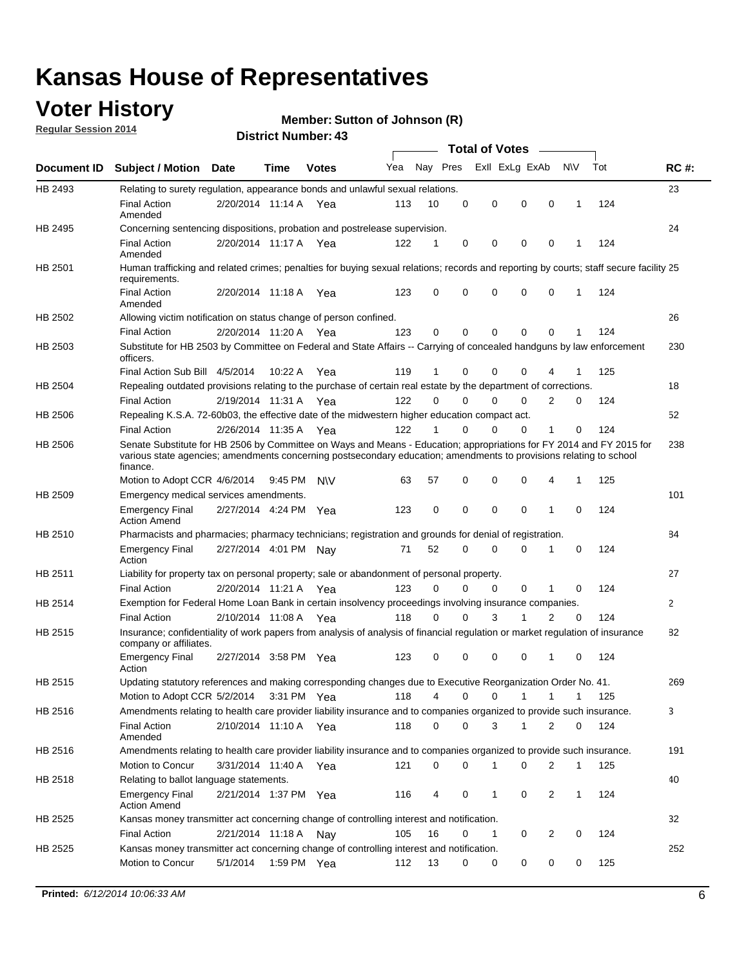### **Voter History**

**Regular Session 2014**

#### **Member: Sutton of Johnson (R)**

|                |                                                                                                                                                                                                                                                        |                       |         |              |     |          |          | <b>Total of Votes</b> |              |                |              |     |              |
|----------------|--------------------------------------------------------------------------------------------------------------------------------------------------------------------------------------------------------------------------------------------------------|-----------------------|---------|--------------|-----|----------|----------|-----------------------|--------------|----------------|--------------|-----|--------------|
|                | Document ID Subject / Motion Date                                                                                                                                                                                                                      |                       | Time    | <b>Votes</b> | Yea | Nay Pres |          | Exll ExLg ExAb        |              |                | <b>NV</b>    | Tot | <b>RC#:</b>  |
| HB 2493        | Relating to surety regulation, appearance bonds and unlawful sexual relations.                                                                                                                                                                         |                       |         |              |     |          |          |                       |              |                |              |     | 23           |
|                | <b>Final Action</b><br>Amended                                                                                                                                                                                                                         | 2/20/2014 11:14 A Yea |         |              | 113 | 10       | 0        | 0                     | $\mathbf 0$  | 0              | $\mathbf{1}$ | 124 |              |
| HB 2495        | Concerning sentencing dispositions, probation and postrelease supervision.                                                                                                                                                                             |                       |         |              |     |          |          |                       |              |                |              |     | 24           |
|                | <b>Final Action</b><br>Amended                                                                                                                                                                                                                         | 2/20/2014 11:17 A Yea |         |              | 122 | 1        | 0        | 0                     | $\mathbf 0$  | 0              | -1           | 124 |              |
| HB 2501        | Human trafficking and related crimes; penalties for buying sexual relations; records and reporting by courts; staff secure facility 25<br>requirements.                                                                                                |                       |         |              |     |          |          |                       |              |                |              |     |              |
|                | <b>Final Action</b><br>Amended                                                                                                                                                                                                                         | 2/20/2014 11:18 A Yea |         |              | 123 | 0        | 0        | 0                     | $\Omega$     | 0              | $\mathbf{1}$ | 124 |              |
| HB 2502        | Allowing victim notification on status change of person confined.                                                                                                                                                                                      |                       |         |              |     |          |          |                       |              |                |              |     | 26           |
|                | <b>Final Action</b>                                                                                                                                                                                                                                    | 2/20/2014 11:20 A Yea |         |              | 123 | 0        | 0        | $\Omega$              | $\Omega$     | 0              |              | 124 |              |
| HB 2503        | Substitute for HB 2503 by Committee on Federal and State Affairs -- Carrying of concealed handguns by law enforcement<br>officers.                                                                                                                     |                       |         |              |     |          |          |                       |              |                |              |     | 230          |
|                | Final Action Sub Bill 4/5/2014                                                                                                                                                                                                                         |                       | 10:22 A | Yea          | 119 | 1        | 0        | $\Omega$              | $\Omega$     | 4              |              | 125 |              |
| HB 2504        | Repealing outdated provisions relating to the purchase of certain real estate by the department of corrections.                                                                                                                                        |                       |         |              |     |          |          |                       |              |                |              |     | 18           |
|                | <b>Final Action</b>                                                                                                                                                                                                                                    | 2/19/2014 11:31 A Yea |         |              | 122 | $\Omega$ | $\Omega$ | $\Omega$              | $\Omega$     | 2              | 0            | 124 |              |
| <b>HB 2506</b> | Repealing K.S.A. 72-60b03, the effective date of the midwestern higher education compact act.                                                                                                                                                          |                       |         |              |     |          |          |                       |              |                |              |     | 52           |
|                | <b>Final Action</b>                                                                                                                                                                                                                                    | 2/26/2014 11:35 A Yea |         |              | 122 |          | $\Omega$ | $\Omega$              | 0            | 1              | 0            | 124 |              |
| <b>HB 2506</b> | Senate Substitute for HB 2506 by Committee on Ways and Means - Education; appropriations for FY 2014 and FY 2015 for<br>various state agencies; amendments concerning postsecondary education; amendments to provisions relating to school<br>finance. |                       |         |              |     |          |          |                       |              |                |              |     | 238          |
|                | Motion to Adopt CCR 4/6/2014                                                                                                                                                                                                                           |                       | 9:45 PM | <b>NV</b>    | 63  | 57       | 0        | 0                     | 0            | 4              | -1           | 125 |              |
| HB 2509        | Emergency medical services amendments.                                                                                                                                                                                                                 |                       |         |              |     |          |          |                       |              |                |              |     | 101          |
|                | <b>Emergency Final</b><br><b>Action Amend</b>                                                                                                                                                                                                          | 2/27/2014 4:24 PM Yea |         |              | 123 | 0        | 0        | $\mathbf 0$           | $\mathbf 0$  | 1              | 0            | 124 |              |
| HB 2510        | Pharmacists and pharmacies; pharmacy technicians; registration and grounds for denial of registration.                                                                                                                                                 |                       |         |              |     |          |          |                       |              |                |              |     | 84           |
|                | <b>Emergency Final</b><br>Action                                                                                                                                                                                                                       | 2/27/2014 4:01 PM Nay |         |              | 71  | 52       | $\Omega$ | 0                     | $\Omega$     | 1              | 0            | 124 |              |
| HB 2511        | Liability for property tax on personal property; sale or abandonment of personal property.                                                                                                                                                             |                       |         |              |     |          |          |                       |              |                |              |     | 27           |
|                | <b>Final Action</b>                                                                                                                                                                                                                                    | 2/20/2014 11:21 A     |         | Yea          | 123 | $\Omega$ | $\Omega$ | $\Omega$              | 0            | 1              | 0            | 124 |              |
| HB 2514        | Exemption for Federal Home Loan Bank in certain insolvency proceedings involving insurance companies.                                                                                                                                                  |                       |         |              |     |          |          |                       |              |                |              |     | $\mathbf{2}$ |
|                | <b>Final Action</b>                                                                                                                                                                                                                                    | 2/10/2014 11:08 A Yea |         |              | 118 | 0        | 0        | 3                     | 1            | $\overline{2}$ | $\mathbf 0$  | 124 |              |
| HB 2515        | Insurance; confidentiality of work papers from analysis of analysis of financial regulation or market regulation of insurance<br>company or affiliates.                                                                                                |                       |         |              |     |          |          |                       |              |                |              |     | 82           |
|                | <b>Emergency Final</b><br>Action                                                                                                                                                                                                                       | 2/27/2014 3:58 PM Yea |         |              | 123 | 0        | 0        | 0                     | 0            | 1              | 0            | 124 |              |
| HB 2515        | Updating statutory references and making corresponding changes due to Executive Reorganization Order No. 41.                                                                                                                                           |                       |         |              |     |          |          |                       |              |                |              |     | 269          |
|                | Motion to Adopt CCR 5/2/2014 3:31 PM Yea                                                                                                                                                                                                               |                       |         |              | 118 | 4        | 0        | 0                     | $\mathbf{1}$ | $\mathbf{1}$   | $\mathbf{1}$ | 125 |              |
| HB 2516        | Amendments relating to health care provider liability insurance and to companies organized to provide such insurance.                                                                                                                                  |                       |         |              |     |          |          |                       |              |                |              |     | 3            |
|                | <b>Final Action</b><br>Amended                                                                                                                                                                                                                         | 2/10/2014 11:10 A Yea |         |              | 118 | 0        | 0        | 3                     | 1            | 2              | 0            | 124 |              |
| HB 2516        | Amendments relating to health care provider liability insurance and to companies organized to provide such insurance.                                                                                                                                  |                       |         |              |     |          |          |                       |              |                |              |     | 191          |
|                | Motion to Concur                                                                                                                                                                                                                                       | 3/31/2014 11:40 A Yea |         |              | 121 | 0        | 0        | 1                     | 0            | 2              | $\mathbf{1}$ | 125 |              |
| HB 2518        | Relating to ballot language statements.                                                                                                                                                                                                                |                       |         |              |     |          |          |                       |              |                |              |     | 40           |
|                | <b>Emergency Final</b><br><b>Action Amend</b>                                                                                                                                                                                                          | 2/21/2014 1:37 PM Yea |         |              | 116 | 4        | 0        | 1                     | 0            | 2              | $\mathbf{1}$ | 124 |              |
| HB 2525        | Kansas money transmitter act concerning change of controlling interest and notification.                                                                                                                                                               |                       |         |              |     |          |          |                       |              |                |              |     | 32           |
|                | <b>Final Action</b>                                                                                                                                                                                                                                    | 2/21/2014 11:18 A Nay |         |              | 105 | 16       | 0        | 1                     | 0            | 2              | 0            | 124 |              |
| HB 2525        | Kansas money transmitter act concerning change of controlling interest and notification.                                                                                                                                                               |                       |         |              |     |          |          |                       |              |                |              |     | 252          |
|                | Motion to Concur                                                                                                                                                                                                                                       | 5/1/2014              |         | 1:59 PM Yea  | 112 | 13       | 0        | 0                     | 0            | 0              | 0            | 125 |              |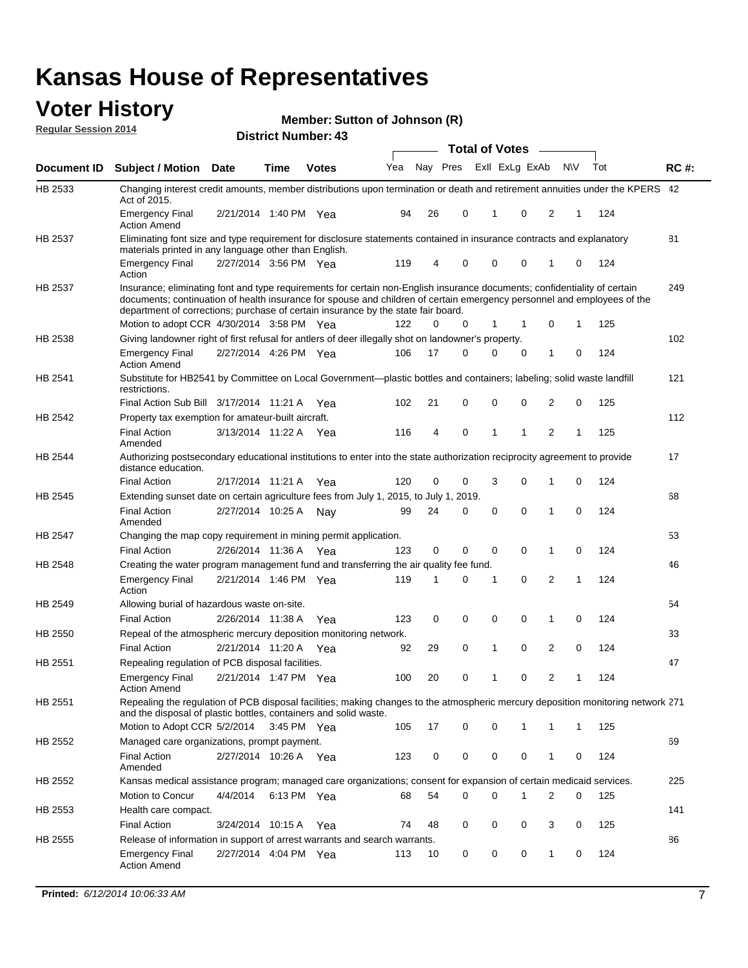#### **Voter History Regular Session 2014**

| Member: Sutton of Johnson (R) |  |  |
|-------------------------------|--|--|
|-------------------------------|--|--|

|                |                                                                                                                                                                                                                                                                                                                                           |                       |      | ר <del>ד</del> . וסעווווטדו ועו ווסוש |     |    |             | <b>Total of Votes</b> |                |                |   |     |             |
|----------------|-------------------------------------------------------------------------------------------------------------------------------------------------------------------------------------------------------------------------------------------------------------------------------------------------------------------------------------------|-----------------------|------|---------------------------------------|-----|----|-------------|-----------------------|----------------|----------------|---|-----|-------------|
| Document ID    | <b>Subject / Motion Date</b>                                                                                                                                                                                                                                                                                                              |                       | Time | <b>Votes</b>                          | Yea |    | Nay Pres    |                       | Exll ExLg ExAb | N\V            |   | Tot | <b>RC#:</b> |
| HB 2533        | Changing interest credit amounts, member distributions upon termination or death and retirement annuities under the KPERS 42<br>Act of 2015.                                                                                                                                                                                              |                       |      |                                       |     |    |             |                       |                |                |   |     |             |
|                | <b>Emergency Final</b><br><b>Action Amend</b>                                                                                                                                                                                                                                                                                             | 2/21/2014 1:40 PM Yea |      |                                       | 94  | 26 | 0           | $\mathbf{1}$          | 0              | 2              | 1 | 124 |             |
| HB 2537        | Eliminating font size and type requirement for disclosure statements contained in insurance contracts and explanatory<br>materials printed in any language other than English.                                                                                                                                                            |                       |      |                                       |     |    |             |                       |                |                |   |     | 81          |
|                | <b>Emergency Final</b><br>Action                                                                                                                                                                                                                                                                                                          | 2/27/2014 3:56 PM Yea |      |                                       | 119 | 4  | 0           | 0                     | 0              | 1              | 0 | 124 |             |
| HB 2537        | Insurance; eliminating font and type requirements for certain non-English insurance documents; confidentiality of certain<br>documents; continuation of health insurance for spouse and children of certain emergency personnel and employees of the<br>department of corrections; purchase of certain insurance by the state fair board. |                       |      |                                       |     |    |             |                       |                |                |   |     | 249         |
|                | Motion to adopt CCR 4/30/2014 3:58 PM Yea                                                                                                                                                                                                                                                                                                 |                       |      |                                       | 122 | 0  | 0           | 1                     | -1             | 0              | 1 | 125 |             |
| HB 2538        | Giving landowner right of first refusal for antlers of deer illegally shot on landowner's property.                                                                                                                                                                                                                                       |                       |      |                                       |     |    |             |                       |                |                |   |     | 102         |
|                | <b>Emergency Final</b><br><b>Action Amend</b>                                                                                                                                                                                                                                                                                             | 2/27/2014 4:26 PM Yea |      |                                       | 106 | 17 | 0           | 0                     | 0              | 1              | 0 | 124 |             |
| HB 2541        | Substitute for HB2541 by Committee on Local Government—plastic bottles and containers; labeling; solid waste landfill<br>restrictions.                                                                                                                                                                                                    |                       |      |                                       |     |    |             |                       |                |                |   |     | 121         |
|                | Final Action Sub Bill 3/17/2014 11:21 A Yea                                                                                                                                                                                                                                                                                               |                       |      |                                       | 102 | 21 | 0           | $\mathbf 0$           | 0              | 2              | 0 | 125 |             |
| HB 2542        | Property tax exemption for amateur-built aircraft.<br><b>Final Action</b><br>Amended                                                                                                                                                                                                                                                      | 3/13/2014 11:22 A Yea |      |                                       | 116 | 4  | 0           | $\mathbf{1}$          | 1              | 2              | 1 | 125 | 112         |
| HB 2544        | Authorizing postsecondary educational institutions to enter into the state authorization reciprocity agreement to provide<br>distance education.                                                                                                                                                                                          |                       |      |                                       |     |    |             |                       |                |                |   |     | 17          |
|                | <b>Final Action</b>                                                                                                                                                                                                                                                                                                                       | 2/17/2014 11:21 A Yea |      |                                       | 120 | 0  | 0           | 3                     | 0              | 1              | 0 | 124 |             |
| HB 2545        | Extending sunset date on certain agriculture fees from July 1, 2015, to July 1, 2019.                                                                                                                                                                                                                                                     |                       |      |                                       |     |    |             |                       |                |                |   |     | 68          |
|                | <b>Final Action</b><br>Amended                                                                                                                                                                                                                                                                                                            | 2/27/2014 10:25 A Nav |      |                                       | 99  | 24 | 0           | $\mathbf 0$           | $\Omega$       | 1              | 0 | 124 |             |
| <b>HB 2547</b> | Changing the map copy requirement in mining permit application.                                                                                                                                                                                                                                                                           |                       |      |                                       |     |    |             |                       |                |                |   |     | 53          |
|                | <b>Final Action</b>                                                                                                                                                                                                                                                                                                                       | 2/26/2014 11:36 A     |      | Yea                                   | 123 | 0  | 0           | 0                     | 0              | 1              | 0 | 124 |             |
| HB 2548        | Creating the water program management fund and transferring the air quality fee fund.                                                                                                                                                                                                                                                     |                       |      |                                       |     |    |             |                       |                |                |   |     | 46          |
|                | <b>Emergency Final</b><br>Action                                                                                                                                                                                                                                                                                                          | 2/21/2014 1:46 PM Yea |      |                                       | 119 | 1  | 0           | 1                     | 0              | 2              | 1 | 124 |             |
| HB 2549        | Allowing burial of hazardous waste on-site.                                                                                                                                                                                                                                                                                               |                       |      |                                       |     |    |             |                       |                |                |   |     | 54          |
|                | <b>Final Action</b>                                                                                                                                                                                                                                                                                                                       | 2/26/2014 11:38 A     |      | Yea                                   | 123 | 0  | $\mathbf 0$ | 0                     | 0              | 1              | 0 | 124 |             |
| HB 2550        | Repeal of the atmospheric mercury deposition monitoring network.                                                                                                                                                                                                                                                                          |                       |      |                                       |     |    |             |                       |                |                |   |     | 33          |
|                | <b>Final Action</b>                                                                                                                                                                                                                                                                                                                       | 2/21/2014 11:20 A Yea |      |                                       | 92  | 29 | 0           | 1                     | 0              | 2              | 0 | 124 |             |
| HB 2551        | Repealing regulation of PCB disposal facilities.                                                                                                                                                                                                                                                                                          |                       |      |                                       |     |    |             |                       |                |                |   |     | 47          |
|                | <b>Emergency Final</b><br>Action Amend                                                                                                                                                                                                                                                                                                    | 2/21/2014 1:47 PM Yea |      |                                       | 100 | 20 | 0           | 1                     | 0              | $\overline{2}$ | 1 | 124 |             |
| HB 2551        | Repealing the regulation of PCB disposal facilities; making changes to the atmospheric mercury deposition monitoring network 271<br>and the disposal of plastic bottles, containers and solid waste.                                                                                                                                      |                       |      |                                       |     |    |             |                       |                |                |   |     |             |
|                | Motion to Adopt CCR 5/2/2014 3:45 PM Yea                                                                                                                                                                                                                                                                                                  |                       |      |                                       | 105 | 17 | 0           | 0                     | 1              | 1              | 1 | 125 |             |
| HB 2552        | Managed care organizations, prompt payment.                                                                                                                                                                                                                                                                                               |                       |      |                                       |     |    |             |                       |                |                |   |     | 69          |
|                | <b>Final Action</b><br>Amended                                                                                                                                                                                                                                                                                                            | 2/27/2014 10:26 A Yea |      |                                       | 123 | 0  | 0           | 0                     | 0              | 1              | 0 | 124 |             |
| HB 2552        | Kansas medical assistance program; managed care organizations; consent for expansion of certain medicaid services.                                                                                                                                                                                                                        |                       |      |                                       |     |    |             |                       |                |                |   |     | 225         |
|                | Motion to Concur                                                                                                                                                                                                                                                                                                                          | 4/4/2014              |      | 6:13 PM Yea                           | 68  | 54 | 0           | 0                     | 1              | 2              | 0 | 125 |             |
| HB 2553        | Health care compact.                                                                                                                                                                                                                                                                                                                      |                       |      |                                       |     |    |             |                       |                |                |   |     | 141         |
|                | <b>Final Action</b>                                                                                                                                                                                                                                                                                                                       | 3/24/2014 10:15 A Yea |      |                                       | 74  | 48 | 0           | 0                     | 0              | 3              | 0 | 125 |             |
| HB 2555        | Release of information in support of arrest warrants and search warrants.                                                                                                                                                                                                                                                                 |                       |      |                                       |     |    |             |                       |                |                |   |     | 86          |
|                | <b>Emergency Final</b><br><b>Action Amend</b>                                                                                                                                                                                                                                                                                             | 2/27/2014 4:04 PM Yea |      |                                       | 113 | 10 | 0           | 0                     | 0              | $\mathbf{1}$   | 0 | 124 |             |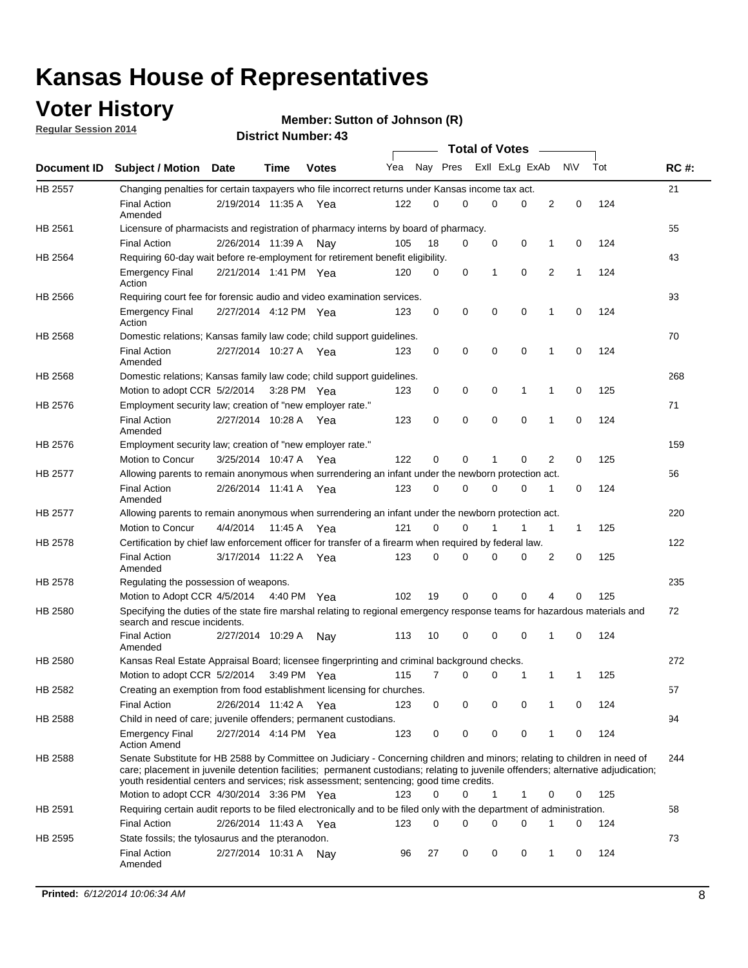### **Voter History**

**Regular Session 2014**

#### **Member: Sutton of Johnson (R)**

|                |                                                                                                                                                                                                                                                                                                                                                           |                       |         |              |     |          |          | <b>Total of Votes</b> |          |   |             |     |             |
|----------------|-----------------------------------------------------------------------------------------------------------------------------------------------------------------------------------------------------------------------------------------------------------------------------------------------------------------------------------------------------------|-----------------------|---------|--------------|-----|----------|----------|-----------------------|----------|---|-------------|-----|-------------|
|                | Document ID Subject / Motion                                                                                                                                                                                                                                                                                                                              | Date                  | Time    | <b>Votes</b> | Yea |          | Nay Pres | Exll ExLg ExAb        |          |   | <b>NV</b>   | Tot | <b>RC#:</b> |
| HB 2557        | Changing penalties for certain taxpayers who file incorrect returns under Kansas income tax act.                                                                                                                                                                                                                                                          |                       |         |              |     |          |          |                       |          |   |             |     | 21          |
|                | <b>Final Action</b><br>Amended                                                                                                                                                                                                                                                                                                                            | 2/19/2014 11:35 A     |         | Yea          | 122 | 0        | 0        | 0                     | 0        | 2 | 0           | 124 |             |
| HB 2561        | Licensure of pharmacists and registration of pharmacy interns by board of pharmacy.                                                                                                                                                                                                                                                                       |                       |         |              |     |          |          |                       |          |   |             |     | 55          |
|                | <b>Final Action</b>                                                                                                                                                                                                                                                                                                                                       | 2/26/2014 11:39 A     |         | Nav          | 105 | 18       | 0        | 0                     | 0        | 1 | 0           | 124 |             |
| HB 2564        | Requiring 60-day wait before re-employment for retirement benefit eligibility.                                                                                                                                                                                                                                                                            |                       |         |              |     |          |          |                       |          |   |             |     | 43          |
|                | <b>Emergency Final</b><br>Action                                                                                                                                                                                                                                                                                                                          | 2/21/2014 1:41 PM Yea |         |              | 120 | 0        | 0        | 1                     | 0        | 2 | 1           | 124 |             |
| HB 2566        | Requiring court fee for forensic audio and video examination services.                                                                                                                                                                                                                                                                                    |                       |         |              |     |          |          |                       |          |   |             |     | 93          |
|                | <b>Emergency Final</b><br>Action                                                                                                                                                                                                                                                                                                                          | 2/27/2014 4:12 PM Yea |         |              | 123 | 0        | 0        | 0                     | 0        | 1 | $\mathbf 0$ | 124 |             |
| HB 2568        | Domestic relations; Kansas family law code; child support guidelines.                                                                                                                                                                                                                                                                                     |                       |         |              |     |          |          |                       |          |   |             |     | 70          |
|                | <b>Final Action</b><br>Amended                                                                                                                                                                                                                                                                                                                            | 2/27/2014 10:27 A     |         | Yea          | 123 | 0        | 0        | 0                     | 0        | 1 | 0           | 124 |             |
| HB 2568        | Domestic relations; Kansas family law code; child support guidelines.                                                                                                                                                                                                                                                                                     |                       |         |              |     |          |          |                       |          |   |             |     | 268         |
|                | Motion to adopt CCR 5/2/2014 3:28 PM Yea                                                                                                                                                                                                                                                                                                                  |                       |         |              | 123 | 0        | 0        | 0                     | 1        | 1 | $\mathbf 0$ | 125 |             |
| HB 2576        | Employment security law; creation of "new employer rate."                                                                                                                                                                                                                                                                                                 |                       |         |              |     |          |          |                       |          |   |             |     | 71          |
|                | <b>Final Action</b><br>Amended                                                                                                                                                                                                                                                                                                                            | 2/27/2014 10:28 A     |         | Yea          | 123 | 0        | 0        | 0                     | 0        | 1 | $\mathbf 0$ | 124 |             |
| HB 2576        | Employment security law; creation of "new employer rate."                                                                                                                                                                                                                                                                                                 |                       |         |              |     |          |          |                       |          |   |             |     | 159         |
|                | Motion to Concur                                                                                                                                                                                                                                                                                                                                          | 3/25/2014 10:47 A     |         | Yea          | 122 | 0        | 0        | 1                     | 0        | 2 | 0           | 125 |             |
| <b>HB 2577</b> | Allowing parents to remain anonymous when surrendering an infant under the newborn protection act.                                                                                                                                                                                                                                                        |                       |         |              |     |          |          |                       |          |   |             |     | 56          |
|                | <b>Final Action</b><br>Amended                                                                                                                                                                                                                                                                                                                            | 2/26/2014 11:41 A Yea |         |              | 123 | $\Omega$ | 0        | 0                     | 0        | 1 | 0           | 124 |             |
| HB 2577        | Allowing parents to remain anonymous when surrendering an infant under the newborn protection act.                                                                                                                                                                                                                                                        |                       |         |              |     |          |          |                       |          |   |             |     | 220         |
|                | Motion to Concur                                                                                                                                                                                                                                                                                                                                          | 4/4/2014              | 11:45 A | Yea          | 121 | 0        | 0        |                       | 1        | 1 | 1           | 125 |             |
| HB 2578        | Certification by chief law enforcement officer for transfer of a firearm when required by federal law.                                                                                                                                                                                                                                                    |                       |         |              |     |          |          |                       |          |   |             |     | 122         |
|                | <b>Final Action</b><br>Amended                                                                                                                                                                                                                                                                                                                            | 3/17/2014 11:22 A     |         | Yea          | 123 | $\Omega$ | 0        | 0                     | 0        | 2 | 0           | 125 |             |
| HB 2578        | Regulating the possession of weapons.                                                                                                                                                                                                                                                                                                                     |                       |         |              |     |          |          |                       |          |   |             |     | 235         |
|                | Motion to Adopt CCR 4/5/2014 4:40 PM Yea                                                                                                                                                                                                                                                                                                                  |                       |         |              | 102 | 19       | 0        | 0                     | $\Omega$ | 4 | 0           | 125 |             |
| HB 2580        | Specifying the duties of the state fire marshal relating to regional emergency response teams for hazardous materials and<br>search and rescue incidents.                                                                                                                                                                                                 |                       |         |              |     |          |          |                       |          |   |             |     | 72          |
|                | <b>Final Action</b><br>Amended                                                                                                                                                                                                                                                                                                                            | 2/27/2014 10:29 A     |         | Nav          | 113 | 10       | 0        | 0                     | 0        | 1 | 0           | 124 |             |
| HB 2580        | Kansas Real Estate Appraisal Board; licensee fingerprinting and criminal background checks.                                                                                                                                                                                                                                                               |                       |         |              |     |          |          |                       |          |   |             |     | 272         |
|                | Motion to adopt CCR 5/2/2014                                                                                                                                                                                                                                                                                                                              |                       |         | 3:49 PM Yea  | 115 | 7        | 0        | 0                     | 1        | 1 | 1           | 125 |             |
| HB 2582        | Creating an exemption from food establishment licensing for churches.                                                                                                                                                                                                                                                                                     |                       |         |              |     |          |          |                       |          |   |             |     | 57          |
|                | <b>Final Action</b>                                                                                                                                                                                                                                                                                                                                       | 2/26/2014 11:42 A Yea |         |              | 123 | 0        | 0        | 0                     | 0        | 1 | 0           | 124 |             |
| HB 2588        | Child in need of care; juvenile offenders; permanent custodians.                                                                                                                                                                                                                                                                                          |                       |         |              |     |          |          |                       |          |   |             |     | 94          |
|                | <b>Emergency Final</b><br><b>Action Amend</b>                                                                                                                                                                                                                                                                                                             | 2/27/2014 4:14 PM Yea |         |              | 123 | 0        | 0        | 0                     | 0        | 1 | 0           | 124 |             |
| HB 2588        | Senate Substitute for HB 2588 by Committee on Judiciary - Concerning children and minors; relating to children in need of<br>care; placement in juvenile detention facilities; permanent custodians; relating to juvenile offenders; alternative adjudication;<br>youth residential centers and services; risk assessment; sentencing; good time credits. |                       |         |              |     |          |          |                       |          |   |             |     | 244         |
|                | Motion to adopt CCR 4/30/2014 3:36 PM Yea                                                                                                                                                                                                                                                                                                                 |                       |         |              | 123 | 0        | 0        | 1                     | 1        | 0 | 0           | 125 |             |
| HB 2591        | Requiring certain audit reports to be filed electronically and to be filed only with the department of administration.                                                                                                                                                                                                                                    |                       |         |              |     |          |          |                       |          |   |             |     | 58          |
|                | <b>Final Action</b>                                                                                                                                                                                                                                                                                                                                       | 2/26/2014 11:43 A Yea |         |              | 123 | 0        | 0        | 0                     | 0        | 1 | 0           | 124 |             |
| HB 2595        | State fossils; the tylosaurus and the pteranodon.                                                                                                                                                                                                                                                                                                         |                       |         |              |     |          |          |                       |          |   |             |     | 73          |
|                | <b>Final Action</b><br>Amended                                                                                                                                                                                                                                                                                                                            | 2/27/2014 10:31 A Nay |         |              | 96  | 27       | 0        | 0                     | 0        | 1 | 0           | 124 |             |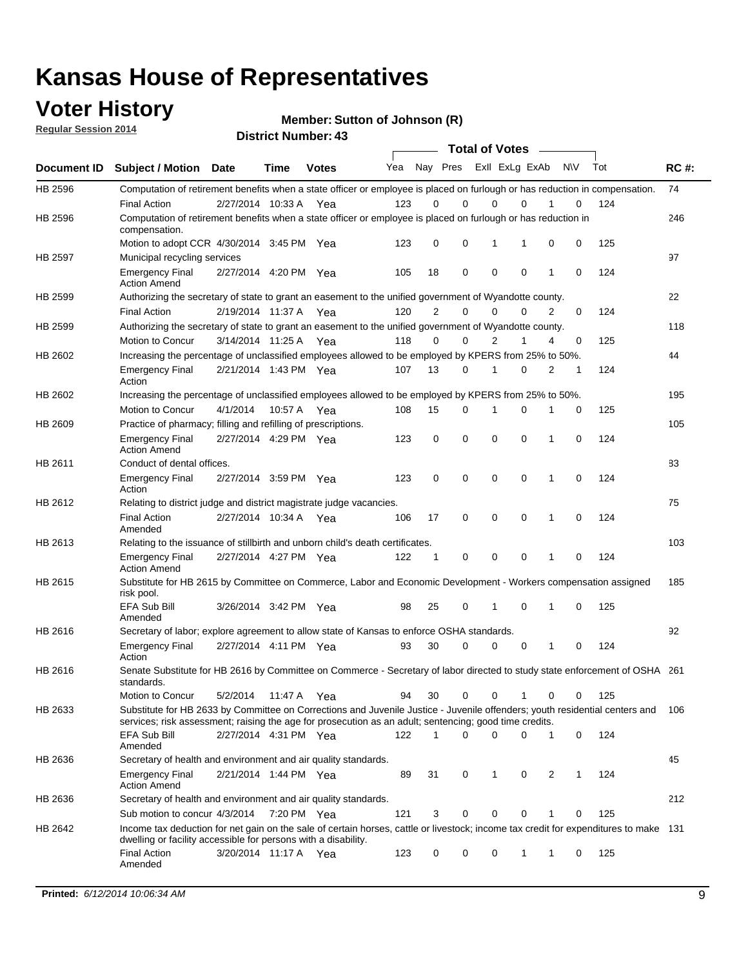### **Voter History**

**Regular Session 2014**

**Member: Sutton of Johnson (R)** 

|         |                                                                                                                                                                                                        |                       |             |              |     |                | <b>Total of Votes</b>   |             |             |              |            |     |             |
|---------|--------------------------------------------------------------------------------------------------------------------------------------------------------------------------------------------------------|-----------------------|-------------|--------------|-----|----------------|-------------------------|-------------|-------------|--------------|------------|-----|-------------|
|         | Document ID Subject / Motion Date                                                                                                                                                                      |                       | <b>Time</b> | <b>Votes</b> | Yea |                | Nay Pres Exll ExLg ExAb |             |             |              | <b>NIV</b> | Tot | <b>RC#:</b> |
| HB 2596 | Computation of retirement benefits when a state officer or employee is placed on furlough or has reduction in compensation.                                                                            |                       |             |              |     |                |                         |             | $\Omega$    |              |            |     | 74          |
| HB 2596 | <b>Final Action</b><br>Computation of retirement benefits when a state officer or employee is placed on furlough or has reduction in                                                                   | 2/27/2014 10:33 A     |             | Yea          | 123 | 0              | 0                       | $\mathbf 0$ |             |              | 0          | 124 | 246         |
|         | compensation.                                                                                                                                                                                          |                       |             |              |     |                |                         |             |             |              |            |     |             |
|         | Motion to adopt CCR 4/30/2014 3:45 PM Yea                                                                                                                                                              |                       |             |              | 123 | 0              | 0                       | 1           | 1           | 0            | 0          | 125 |             |
| HB 2597 | Municipal recycling services                                                                                                                                                                           |                       |             |              |     |                |                         |             |             |              |            |     | 97          |
|         | <b>Emergency Final</b><br><b>Action Amend</b>                                                                                                                                                          | 2/27/2014 4:20 PM Yea |             |              | 105 | 18             | 0                       | $\mathbf 0$ | 0           | 1            | 0          | 124 |             |
| HB 2599 | Authorizing the secretary of state to grant an easement to the unified government of Wyandotte county.                                                                                                 |                       |             |              |     |                |                         |             |             |              |            |     | 22          |
|         | <b>Final Action</b>                                                                                                                                                                                    | 2/19/2014 11:37 A     |             | Yea          | 120 | $\overline{2}$ | 0                       | 0           | $\Omega$    | 2            | $\Omega$   | 124 |             |
| HB 2599 | Authorizing the secretary of state to grant an easement to the unified government of Wyandotte county.                                                                                                 |                       |             |              |     |                |                         |             |             |              |            |     | 118         |
|         | Motion to Concur                                                                                                                                                                                       | 3/14/2014 11:25 A Yea |             |              | 118 | 0              | 0                       | 2           | 1           | 4            | 0          | 125 |             |
| HB 2602 | Increasing the percentage of unclassified employees allowed to be employed by KPERS from 25% to 50%.                                                                                                   |                       |             |              |     |                |                         |             |             |              |            |     | 44          |
|         | <b>Emergency Final</b><br>Action                                                                                                                                                                       | 2/21/2014 1:43 PM Yea |             |              | 107 | 13             | 0                       | 1           | 0           | 2            | 1          | 124 |             |
| HB 2602 | Increasing the percentage of unclassified employees allowed to be employed by KPERS from 25% to 50%.                                                                                                   |                       |             |              |     |                |                         |             |             |              |            |     | 195         |
|         | Motion to Concur                                                                                                                                                                                       | 4/1/2014              | 10:57 A     | Yea          | 108 | 15             | 0                       | 1           | $\mathbf 0$ | 1            | 0          | 125 |             |
| HB 2609 | Practice of pharmacy; filling and refilling of prescriptions.                                                                                                                                          |                       |             |              |     |                |                         |             |             |              |            |     | 105         |
|         | <b>Emergency Final</b><br><b>Action Amend</b>                                                                                                                                                          | 2/27/2014 4:29 PM Yea |             |              | 123 | 0              | $\mathbf 0$             | $\mathbf 0$ | $\mathbf 0$ | 1            | 0          | 124 |             |
| HB 2611 | Conduct of dental offices.                                                                                                                                                                             |                       |             |              |     |                |                         |             |             |              |            |     | 83          |
|         | <b>Emergency Final</b><br>Action                                                                                                                                                                       | 2/27/2014 3:59 PM Yea |             |              | 123 | 0              | $\mathbf 0$             | $\mathbf 0$ | 0           | 1            | 0          | 124 |             |
| HB 2612 | Relating to district judge and district magistrate judge vacancies.                                                                                                                                    |                       |             |              |     |                |                         |             |             |              |            |     | 75          |
|         | <b>Final Action</b><br>Amended                                                                                                                                                                         | 2/27/2014 10:34 A     |             | Yea          | 106 | 17             | $\mathbf 0$             | $\mathbf 0$ | $\mathbf 0$ | 1            | 0          | 124 |             |
| HB 2613 | Relating to the issuance of stillbirth and unborn child's death certificates.                                                                                                                          |                       |             |              |     |                |                         |             |             |              |            |     | 103         |
|         | <b>Emergency Final</b><br><b>Action Amend</b>                                                                                                                                                          | 2/27/2014 4:27 PM Yea |             |              | 122 | $\mathbf{1}$   | $\mathbf 0$             | $\mathbf 0$ | $\Omega$    | $\mathbf{1}$ | $\Omega$   | 124 |             |
| HB 2615 | Substitute for HB 2615 by Committee on Commerce, Labor and Economic Development - Workers compensation assigned                                                                                        |                       |             |              |     |                |                         |             |             |              |            |     | 185         |
|         | risk pool.<br>EFA Sub Bill<br>Amended                                                                                                                                                                  | 3/26/2014 3:42 PM Yea |             |              | 98  | 25             | 0                       | 1           | $\mathbf 0$ | 1            | 0          | 125 |             |
| HB 2616 | Secretary of labor; explore agreement to allow state of Kansas to enforce OSHA standards.                                                                                                              |                       |             |              |     |                |                         |             |             |              |            |     | 92          |
|         | <b>Emergency Final</b><br>Action                                                                                                                                                                       | 2/27/2014 4:11 PM Yea |             |              | 93  | 30             | $\Omega$                | $\mathbf 0$ | 0           | 1            | 0          | 124 |             |
| HB 2616 | Senate Substitute for HB 2616 by Committee on Commerce - Secretary of labor directed to study state enforcement of OSHA 261<br>standards.                                                              |                       |             |              |     |                |                         |             |             |              |            |     |             |
|         | Motion to Concur                                                                                                                                                                                       | 5/2/2014 11:47 A Yea  |             |              | 94  | 30             | $\mathbf 0$             | 0           | 1           | 0            | 0          | 125 |             |
| HB 2633 | Substitute for HB 2633 by Committee on Corrections and Juvenile Justice - Juvenile offenders; youth residential centers and                                                                            |                       |             |              |     |                |                         |             |             |              |            |     | 106         |
|         | services; risk assessment; raising the age for prosecution as an adult; sentencing; good time credits.<br>EFA Sub Bill                                                                                 | 2/27/2014 4:31 PM Yea |             |              | 122 | 1              | $\Omega$                | $\Omega$    | 0           | 1            | 0          | 124 |             |
| HB 2636 | Amended<br>Secretary of health and environment and air quality standards.                                                                                                                              |                       |             |              |     |                |                         |             |             |              |            |     | 45          |
|         | <b>Emergency Final</b>                                                                                                                                                                                 | 2/21/2014 1:44 PM Yea |             |              | 89  | 31             | 0                       | 1           | 0           | 2            | 1          | 124 |             |
|         | <b>Action Amend</b>                                                                                                                                                                                    |                       |             |              |     |                |                         |             |             |              |            |     | 212         |
| HB 2636 | Secretary of health and environment and air quality standards.                                                                                                                                         |                       |             |              |     |                |                         |             |             |              |            |     |             |
|         | Sub motion to concur 4/3/2014 7:20 PM Yea                                                                                                                                                              |                       |             |              | 121 | 3              | 0                       | 0           | 0           |              | 0          | 125 |             |
| HB 2642 | Income tax deduction for net gain on the sale of certain horses, cattle or livestock; income tax credit for expenditures to make 131<br>dwelling or facility accessible for persons with a disability. |                       |             |              |     |                |                         |             |             |              |            |     |             |
|         | <b>Final Action</b><br>Amended                                                                                                                                                                         | 3/20/2014 11:17 A Yea |             |              | 123 | 0              | 0                       | 0           | 1           | 1            | 0          | 125 |             |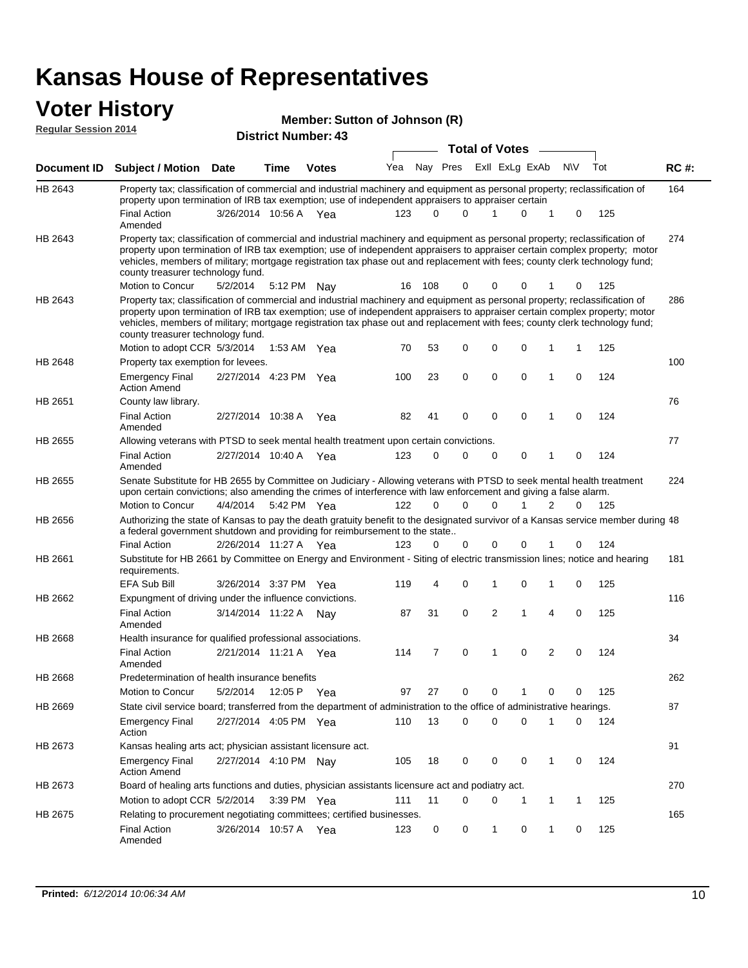### **Voter History**

| <b>VULGE LIBLUI Y</b><br><b>Regular Session 2014</b> |                                                                                                                                                                                                                                                                                                                                                                                                                               |                       |                            | Member: Sutton of Johnson (R) |     |          |          |  |             |                |                |             |     |             |
|------------------------------------------------------|-------------------------------------------------------------------------------------------------------------------------------------------------------------------------------------------------------------------------------------------------------------------------------------------------------------------------------------------------------------------------------------------------------------------------------|-----------------------|----------------------------|-------------------------------|-----|----------|----------|--|-------------|----------------|----------------|-------------|-----|-------------|
|                                                      |                                                                                                                                                                                                                                                                                                                                                                                                                               |                       | <b>District Number: 43</b> | <b>Total of Votes</b>         |     |          |          |  |             |                |                |             |     |             |
| Document ID                                          | <b>Subject / Motion Date</b>                                                                                                                                                                                                                                                                                                                                                                                                  |                       | <b>Time</b>                | <b>Votes</b>                  | Yea |          | Nay Pres |  |             | Exll ExLg ExAb |                | <b>NV</b>   | Tot | <b>RC#:</b> |
| HB 2643                                              | Property tax; classification of commercial and industrial machinery and equipment as personal property; reclassification of                                                                                                                                                                                                                                                                                                   |                       |                            |                               |     |          |          |  |             |                |                |             |     | 164         |
|                                                      | property upon termination of IRB tax exemption; use of independent appraisers to appraiser certain<br><b>Final Action</b><br>Amended                                                                                                                                                                                                                                                                                          | 3/26/2014 10:56 A     |                            | Yea                           | 123 | $\Omega$ | $\Omega$ |  |             | $\Omega$       | 1              | 0           | 125 |             |
| HB 2643                                              | Property tax; classification of commercial and industrial machinery and equipment as personal property; reclassification of<br>property upon termination of IRB tax exemption; use of independent appraisers to appraiser certain complex property; motor<br>vehicles, members of military; mortgage registration tax phase out and replacement with fees; county clerk technology fund;<br>county treasurer technology fund. |                       |                            |                               |     |          |          |  |             |                |                |             |     | 274         |
|                                                      | Motion to Concur                                                                                                                                                                                                                                                                                                                                                                                                              | 5/2/2014              |                            | 5:12 PM Nav                   | 16  | 108      | 0        |  | 0           | 0              |                | 0           | 125 |             |
| HB 2643                                              | Property tax; classification of commercial and industrial machinery and equipment as personal property; reclassification of<br>property upon termination of IRB tax exemption; use of independent appraisers to appraiser certain complex property; motor<br>vehicles, members of military; mortgage registration tax phase out and replacement with fees; county clerk technology fund;<br>county treasurer technology fund. |                       |                            |                               |     |          |          |  |             |                |                |             |     | 286         |
|                                                      | Motion to adopt CCR 5/3/2014                                                                                                                                                                                                                                                                                                                                                                                                  |                       |                            | 1:53 AM Yea                   | 70  | 53       | 0        |  | 0           | 0              | 1              | 1           | 125 |             |
| HB 2648                                              | Property tax exemption for levees.                                                                                                                                                                                                                                                                                                                                                                                            |                       |                            |                               |     |          |          |  |             |                |                |             |     | 100         |
|                                                      | <b>Emergency Final</b><br><b>Action Amend</b>                                                                                                                                                                                                                                                                                                                                                                                 | 2/27/2014 4:23 PM Yea |                            |                               | 100 | 23       | 0        |  | 0           | $\mathbf 0$    | $\mathbf{1}$   | 0           | 124 |             |
| HB 2651                                              | County law library.                                                                                                                                                                                                                                                                                                                                                                                                           |                       |                            |                               |     |          |          |  |             |                |                |             |     | 76          |
|                                                      | <b>Final Action</b><br>Amended                                                                                                                                                                                                                                                                                                                                                                                                | 2/27/2014 10:38 A     |                            | Yea                           | 82  | 41       | 0        |  | $\mathbf 0$ | $\mathbf 0$    | 1              | $\mathbf 0$ | 124 |             |
| HB 2655                                              | Allowing veterans with PTSD to seek mental health treatment upon certain convictions.                                                                                                                                                                                                                                                                                                                                         |                       |                            |                               |     |          |          |  |             |                |                |             |     | 77          |
|                                                      | <b>Final Action</b><br>Amended                                                                                                                                                                                                                                                                                                                                                                                                | 2/27/2014 10:40 A     |                            | Yea                           | 123 | 0        | $\Omega$ |  | 0           | 0              | 1              | 0           | 124 |             |
| HB 2655                                              | Senate Substitute for HB 2655 by Committee on Judiciary - Allowing veterans with PTSD to seek mental health treatment<br>upon certain convictions; also amending the crimes of interference with law enforcement and giving a false alarm.                                                                                                                                                                                    |                       |                            |                               |     |          |          |  |             |                |                |             |     | 224         |
|                                                      | Motion to Concur                                                                                                                                                                                                                                                                                                                                                                                                              | 4/4/2014              |                            | 5:42 PM Yea                   | 122 | $\Omega$ | $\Omega$ |  | 0           | 1              | 2              | 0           | 125 |             |
| HB 2656                                              | Authorizing the state of Kansas to pay the death gratuity benefit to the designated survivor of a Kansas service member during 48<br>a federal government shutdown and providing for reimbursement to the state                                                                                                                                                                                                               |                       |                            |                               |     |          |          |  |             |                |                |             |     |             |
|                                                      | <b>Final Action</b>                                                                                                                                                                                                                                                                                                                                                                                                           | 2/26/2014 11:27 A Yea |                            |                               | 123 | 0        | 0        |  | 0           | 0              |                | 0           | 124 |             |
| HB 2661                                              | Substitute for HB 2661 by Committee on Energy and Environment - Siting of electric transmission lines; notice and hearing<br>requirements.                                                                                                                                                                                                                                                                                    |                       |                            |                               |     |          |          |  |             |                |                |             |     | 181         |
|                                                      | EFA Sub Bill                                                                                                                                                                                                                                                                                                                                                                                                                  | 3/26/2014 3:37 PM     |                            | Yea                           | 119 | 4        | 0        |  | 1           | 0              | 1              | 0           | 125 |             |
| HB 2662                                              | Expungment of driving under the influence convictions.                                                                                                                                                                                                                                                                                                                                                                        |                       |                            |                               |     |          |          |  |             |                |                |             |     | 116         |
|                                                      | <b>Final Action</b><br>Amended                                                                                                                                                                                                                                                                                                                                                                                                | 3/14/2014 11:22 A     |                            | Nav                           | 87  | 31       | 0        |  | 2           | 1              | $\overline{4}$ | $\mathbf 0$ | 125 |             |
| HB 2668                                              | Health insurance for qualified professional associations.                                                                                                                                                                                                                                                                                                                                                                     |                       |                            |                               |     |          |          |  |             |                |                |             |     | 34          |
|                                                      | <b>Final Action</b><br>Amended                                                                                                                                                                                                                                                                                                                                                                                                | 2/21/2014 11:21 A     |                            | Yea                           | 114 | 7        | 0        |  | 1           | 0              | 2              | 0           | 124 |             |
| HB 2668                                              | Predetermination of health insurance benefits                                                                                                                                                                                                                                                                                                                                                                                 |                       |                            |                               |     |          |          |  |             |                |                |             |     | 262         |
|                                                      | Motion to Concur                                                                                                                                                                                                                                                                                                                                                                                                              | 5/2/2014              | 12:05 P                    | Yea                           | 97  | 27       | 0        |  | 0           | 1              | 0              | 0           | 125 |             |
| HB 2669                                              | State civil service board; transferred from the department of administration to the office of administrative hearings.                                                                                                                                                                                                                                                                                                        |                       |                            |                               |     |          |          |  |             |                |                |             |     | 87          |
|                                                      | <b>Emergency Final</b><br>Action                                                                                                                                                                                                                                                                                                                                                                                              | 2/27/2014 4:05 PM Yea |                            |                               | 110 | 13       | 0        |  | 0           | 0              | 1              | 0           | 124 |             |
| HB 2673                                              | Kansas healing arts act; physician assistant licensure act.                                                                                                                                                                                                                                                                                                                                                                   |                       |                            |                               |     |          |          |  |             |                |                |             |     | 91          |
|                                                      | <b>Emergency Final</b><br><b>Action Amend</b>                                                                                                                                                                                                                                                                                                                                                                                 | 2/27/2014 4:10 PM Nay |                            |                               | 105 | 18       | 0        |  | 0           | 0              | 1              | 0           | 124 |             |
| HB 2673                                              | Board of healing arts functions and duties, physician assistants licensure act and podiatry act.                                                                                                                                                                                                                                                                                                                              |                       |                            |                               |     |          |          |  |             |                |                |             |     | 270         |
|                                                      | Motion to adopt CCR 5/2/2014                                                                                                                                                                                                                                                                                                                                                                                                  |                       |                            | 3:39 PM Yea                   | 111 | 11       | 0        |  | 0           | -1             | 1              | 1           | 125 |             |
| HB 2675                                              | Relating to procurement negotiating committees; certified businesses.                                                                                                                                                                                                                                                                                                                                                         |                       |                            |                               |     |          |          |  |             |                |                |             |     | 165         |

Final Action 3/26/2014 10:57 A Yea 123 0 0 1 0 125

3/26/2014 10:57 A Yea

Amended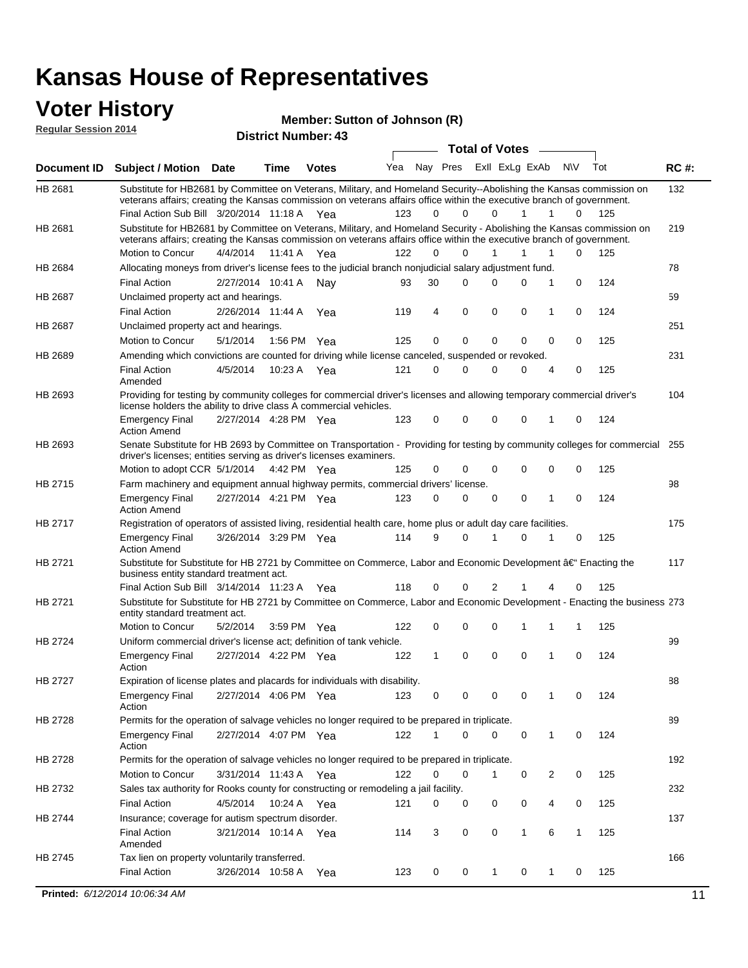#### **Voter History Regular Session 2014**

**Member: Sutton of Johnson (R)** 

|             |                                                                                                                                                                                                                                                                                               |          |                   | <b>District Number: 43</b> |     |          |             |             |                       |        |              |     |             |
|-------------|-----------------------------------------------------------------------------------------------------------------------------------------------------------------------------------------------------------------------------------------------------------------------------------------------|----------|-------------------|----------------------------|-----|----------|-------------|-------------|-----------------------|--------|--------------|-----|-------------|
|             |                                                                                                                                                                                                                                                                                               |          |                   |                            |     |          |             |             | <b>Total of Votes</b> | $\sim$ |              |     |             |
| Document ID | <b>Subject / Motion Date</b>                                                                                                                                                                                                                                                                  |          | <b>Time</b>       | <b>Votes</b>               | Yea | Nay Pres |             |             | ExII ExLg ExAb        |        | N\V          | Tot | <b>RC#:</b> |
| HB 2681     | Substitute for HB2681 by Committee on Veterans, Military, and Homeland Security--Abolishing the Kansas commission on<br>veterans affairs; creating the Kansas commission on veterans affairs office within the executive branch of government.<br>Final Action Sub Bill 3/20/2014 11:18 A Yea |          |                   |                            | 123 | $\Omega$ | 0           | 0           | 1                     | 1      | 0            | 125 | 132         |
| HB 2681     | Substitute for HB2681 by Committee on Veterans, Military, and Homeland Security - Abolishing the Kansas commission on                                                                                                                                                                         |          |                   |                            |     |          |             |             |                       |        |              |     | 219         |
|             | veterans affairs; creating the Kansas commission on veterans affairs office within the executive branch of government.                                                                                                                                                                        |          |                   |                            |     | $\Omega$ | 0           | 1           |                       |        |              |     |             |
|             | Motion to Concur                                                                                                                                                                                                                                                                              | 4/4/2014 | 11:41 A           | Yea                        | 122 |          |             |             | 1                     | 1      | 0            | 125 |             |
| HB 2684     | Allocating moneys from driver's license fees to the judicial branch nonjudicial salary adjustment fund.                                                                                                                                                                                       |          |                   |                            |     |          |             |             |                       |        |              |     | 78          |
|             | <b>Final Action</b>                                                                                                                                                                                                                                                                           |          | 2/27/2014 10:41 A | Nav                        | 93  | 30       | 0           | $\Omega$    | 0                     | 1      | 0            | 124 |             |
| HB 2687     | Unclaimed property act and hearings.                                                                                                                                                                                                                                                          |          |                   |                            |     |          |             |             |                       |        |              |     | 59          |
|             | <b>Final Action</b>                                                                                                                                                                                                                                                                           |          | 2/26/2014 11:44 A | Yea                        | 119 | 4        | $\mathbf 0$ | 0           | 0                     | 1      | 0            | 124 |             |
| HB 2687     | Unclaimed property act and hearings.                                                                                                                                                                                                                                                          |          |                   |                            |     |          |             |             |                       |        |              |     | 251         |
|             | Motion to Concur                                                                                                                                                                                                                                                                              | 5/1/2014 | 1:56 PM           | Yea                        | 125 | 0        | 0           | 0           | $\mathbf 0$           | 0      | 0            | 125 |             |
| HB 2689     | Amending which convictions are counted for driving while license canceled, suspended or revoked.                                                                                                                                                                                              |          |                   |                            |     |          |             |             |                       |        |              |     | 231         |
|             | <b>Final Action</b><br>Amended                                                                                                                                                                                                                                                                | 4/5/2014 | 10:23 A           | Yea                        | 121 | 0        | 0           | $\Omega$    | 0                     | 4      | 0            | 125 |             |
| HB 2693     | Providing for testing by community colleges for commercial driver's licenses and allowing temporary commercial driver's<br>license holders the ability to drive class A commercial vehicles.                                                                                                  |          |                   |                            |     |          |             |             |                       |        |              |     | 104         |
|             | Emergency Final<br><b>Action Amend</b>                                                                                                                                                                                                                                                        |          |                   | 2/27/2014 4:28 PM Yea      | 123 | 0        | 0           | $\Omega$    | $\mathbf 0$           | 1      | 0            | 124 |             |
| HB 2693     | Senate Substitute for HB 2693 by Committee on Transportation - Providing for testing by community colleges for commercial 255<br>driver's licenses; entities serving as driver's licenses examiners.                                                                                          |          |                   |                            |     |          |             |             |                       |        |              |     |             |
|             | Motion to adopt CCR 5/1/2014 4:42 PM Yea                                                                                                                                                                                                                                                      |          |                   |                            | 125 | 0        | 0           | 0           | 0                     | 0      | 0            | 125 |             |
| HB 2715     | Farm machinery and equipment annual highway permits, commercial drivers' license.                                                                                                                                                                                                             |          |                   |                            |     |          |             |             |                       |        |              |     | 98          |
|             | Emergency Final<br><b>Action Amend</b>                                                                                                                                                                                                                                                        |          |                   | 2/27/2014 4:21 PM Yea      | 123 | 0        | 0           | 0           | 0                     | 1      | 0            | 124 |             |
| HB 2717     | Registration of operators of assisted living, residential health care, home plus or adult day care facilities.                                                                                                                                                                                |          |                   |                            |     |          |             |             |                       |        |              |     | 175         |
|             | Emergency Final<br>Action Amend                                                                                                                                                                                                                                                               |          |                   | 3/26/2014 3:29 PM Yea      | 114 | 9        | 0           |             | 0                     |        | 0            | 125 |             |
| HB 2721     | Substitute for Substitute for HB 2721 by Committee on Commerce, Labor and Economic Development †Enacting the<br>business entity standard treatment act.                                                                                                                                       |          |                   |                            |     |          |             |             |                       |        |              |     | 117         |
|             | Final Action Sub Bill 3/14/2014 11:23 A Yea                                                                                                                                                                                                                                                   |          |                   |                            | 118 | 0        | 0           | 2           |                       | 4      | 0            | 125 |             |
| HB 2721     | Substitute for Substitute for HB 2721 by Committee on Commerce, Labor and Economic Development - Enacting the business 273<br>entity standard treatment act.                                                                                                                                  |          |                   |                            |     |          |             |             |                       |        |              |     |             |
|             | Motion to Concur                                                                                                                                                                                                                                                                              | 5/2/2014 | 3:59 PM           | Yea                        | 122 | 0        | 0           | $\mathbf 0$ | 1                     | 1      | 1            | 125 |             |
| HB 2724     | Uniform commercial driver's license act; definition of tank vehicle.                                                                                                                                                                                                                          |          |                   |                            |     |          |             |             |                       |        |              |     | 99          |
|             | <b>Emergency Final</b><br>Action                                                                                                                                                                                                                                                              |          |                   | 2/27/2014 4:22 PM Yea      | 122 | 1        | 0           | 0           | $\mathbf 0$           | 1      | 0            | 124 |             |
| HB 2727     | Expiration of license plates and placards for individuals with disability.                                                                                                                                                                                                                    |          |                   |                            |     |          |             |             |                       |        |              |     | 88          |
|             | Emergency Final<br>Action                                                                                                                                                                                                                                                                     |          |                   | 2/27/2014 4:06 PM Yea      | 123 | 0        | 0           | 0           | 0                     | 1      | 0            | 124 |             |
| HB 2728     | Permits for the operation of salvage vehicles no longer required to be prepared in triplicate.                                                                                                                                                                                                |          |                   |                            |     |          |             |             |                       |        |              |     | 89          |
|             | Emergency Final<br>Action                                                                                                                                                                                                                                                                     |          |                   | 2/27/2014 4:07 PM Yea      | 122 |          | 0           | 0           | 0                     | 1      | 0            | 124 |             |
| HB 2728     | Permits for the operation of salvage vehicles no longer required to be prepared in triplicate.                                                                                                                                                                                                |          |                   |                            |     |          |             |             |                       |        |              |     | 192         |
|             | Motion to Concur                                                                                                                                                                                                                                                                              |          |                   | 3/31/2014 11:43 A Yea      | 122 | 0        | 0           | 1           | 0                     | 2      | 0            | 125 |             |
| HB 2732     | Sales tax authority for Rooks county for constructing or remodeling a jail facility.                                                                                                                                                                                                          |          |                   |                            |     |          |             |             |                       |        |              |     | 232         |
|             | Final Action                                                                                                                                                                                                                                                                                  | 4/5/2014 |                   | 10:24 A Yea                | 121 | 0        | 0           | 0           | 0                     | 4      | 0            | 125 |             |
| HB 2744     | Insurance; coverage for autism spectrum disorder.                                                                                                                                                                                                                                             |          |                   |                            |     |          |             |             |                       |        |              |     | 137         |
|             | <b>Final Action</b>                                                                                                                                                                                                                                                                           |          |                   | 3/21/2014 10:14 A Yea      | 114 | 3        | 0           | 0           | 1                     | 6      | $\mathbf{1}$ | 125 |             |
|             | Amended                                                                                                                                                                                                                                                                                       |          |                   |                            |     |          |             |             |                       |        |              |     |             |
| HB 2745     | Tax lien on property voluntarily transferred.                                                                                                                                                                                                                                                 |          |                   |                            |     |          |             |             |                       |        |              |     | 166         |
|             | <b>Final Action</b>                                                                                                                                                                                                                                                                           |          | 3/26/2014 10:58 A | Yea                        | 123 | 0        | 0           | $\mathbf 1$ | 0                     | 1      | 0            | 125 |             |
|             | Printed: 6/12/2014 10:06:34 AM                                                                                                                                                                                                                                                                |          |                   |                            |     |          |             |             |                       |        |              |     | 11          |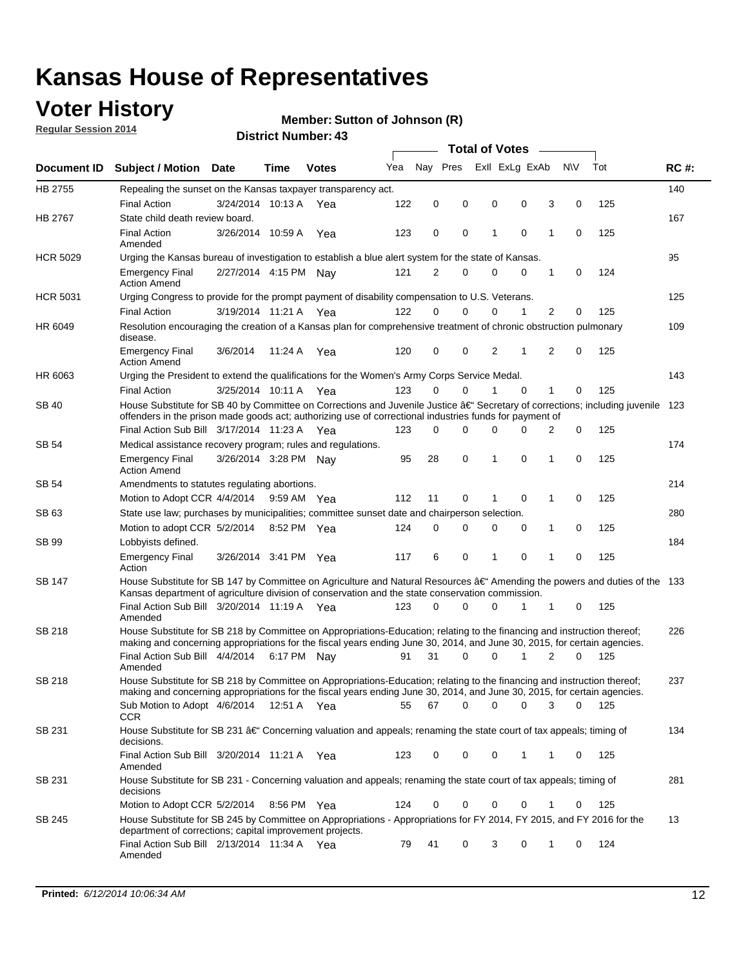### **Voter History**

**Regular Session 2014**

#### **Member: Sutton of Johnson (R)**

|                 |                                                                                                                                                                                                                                                      |                       |             |              |     |             |             | <b>Total of Votes</b> |             |   |             |     |             |
|-----------------|------------------------------------------------------------------------------------------------------------------------------------------------------------------------------------------------------------------------------------------------------|-----------------------|-------------|--------------|-----|-------------|-------------|-----------------------|-------------|---|-------------|-----|-------------|
| Document ID     | <b>Subject / Motion Date</b>                                                                                                                                                                                                                         |                       | Time        | <b>Votes</b> | Yea | Nay Pres    |             | Exll ExLg ExAb        |             |   | <b>NV</b>   | Tot | <b>RC#:</b> |
| HB 2755         | Repealing the sunset on the Kansas taxpayer transparency act.                                                                                                                                                                                        |                       |             |              |     |             |             |                       |             |   |             |     | 140         |
|                 | <b>Final Action</b>                                                                                                                                                                                                                                  | 3/24/2014 10:13 A     |             | Yea          | 122 | 0           | 0           | $\mathbf 0$           | 0           | 3 | 0           | 125 |             |
| HB 2767         | State child death review board.                                                                                                                                                                                                                      |                       |             |              |     |             |             |                       |             |   |             |     | 167         |
|                 | <b>Final Action</b><br>Amended                                                                                                                                                                                                                       | 3/26/2014 10:59 A     |             | Yea          | 123 | 0           | 0           | 1                     | $\mathbf 0$ | 1 | 0           | 125 |             |
| <b>HCR 5029</b> | Urging the Kansas bureau of investigation to establish a blue alert system for the state of Kansas.                                                                                                                                                  |                       |             |              |     |             |             |                       |             |   |             |     | 95          |
|                 | <b>Emergency Final</b><br><b>Action Amend</b>                                                                                                                                                                                                        | 2/27/2014 4:15 PM Nay |             |              | 121 | 2           | 0           | 0                     | 0           | 1 | 0           | 124 |             |
| <b>HCR 5031</b> | Urging Congress to provide for the prompt payment of disability compensation to U.S. Veterans.                                                                                                                                                       |                       |             |              |     |             |             |                       |             |   |             |     | 125         |
|                 | <b>Final Action</b>                                                                                                                                                                                                                                  | 3/19/2014 11:21 A     |             | Yea          | 122 | 0           | $\Omega$    | $\Omega$              | 1           | 2 | 0           | 125 |             |
| HR 6049         | Resolution encouraging the creation of a Kansas plan for comprehensive treatment of chronic obstruction pulmonary<br>disease.                                                                                                                        |                       |             |              |     |             |             |                       |             |   |             |     | 109         |
|                 | <b>Emergency Final</b><br><b>Action Amend</b>                                                                                                                                                                                                        | 3/6/2014              | 11:24 A Yea |              | 120 | 0           | 0           | 2                     | 1           | 2 | $\mathbf 0$ | 125 |             |
| HR 6063         | Urging the President to extend the qualifications for the Women's Army Corps Service Medal.                                                                                                                                                          |                       |             |              |     |             |             |                       |             |   |             |     | 143         |
|                 | <b>Final Action</b>                                                                                                                                                                                                                                  | 3/25/2014 10:11 A Yea |             |              | 123 | 0           | 0           | 1                     | $\mathbf 0$ | 1 | 0           | 125 |             |
| SB 40           | House Substitute for SB 40 by Committee on Corrections and Juvenile Justice †Secretary of corrections; including juvenile<br>offenders in the prison made goods act; authorizing use of correctional industries funds for payment of                 |                       |             |              |     |             |             |                       |             |   |             |     | 123         |
|                 | Final Action Sub Bill 3/17/2014 11:23 A Yea                                                                                                                                                                                                          |                       |             |              | 123 | 0           | 0           | $\Omega$              | O           | 2 | $\mathbf 0$ | 125 |             |
| SB 54           | Medical assistance recovery program; rules and regulations.                                                                                                                                                                                          |                       |             |              |     |             |             |                       |             |   |             |     | 174         |
|                 | <b>Emergency Final</b><br><b>Action Amend</b>                                                                                                                                                                                                        | 3/26/2014 3:28 PM Nay |             |              | 95  | 28          | $\mathbf 0$ | 1                     | 0           | 1 | $\mathbf 0$ | 125 |             |
| SB 54           | Amendments to statutes regulating abortions.                                                                                                                                                                                                         |                       |             |              |     |             |             |                       |             |   |             |     | 214         |
|                 | Motion to Adopt CCR 4/4/2014                                                                                                                                                                                                                         |                       | 9:59 AM Yea |              | 112 | 11          | 0           |                       | $\mathbf 0$ | 1 | $\mathbf 0$ | 125 |             |
| SB 63           | State use law; purchases by municipalities; committee sunset date and chairperson selection.                                                                                                                                                         |                       |             |              |     |             |             |                       |             |   |             |     | 280         |
|                 | Motion to adopt CCR 5/2/2014 8:52 PM Yea                                                                                                                                                                                                             |                       |             |              | 124 | $\mathbf 0$ | 0           | 0                     | 0           | 1 | $\mathbf 0$ | 125 |             |
| SB 99           | Lobbyists defined.                                                                                                                                                                                                                                   |                       |             |              |     |             |             |                       |             |   |             |     | 184         |
|                 | <b>Emergency Final</b><br>Action                                                                                                                                                                                                                     | 3/26/2014 3:41 PM Yea |             |              | 117 | 6           | 0           | 1                     | 0           | 1 | $\mathbf 0$ | 125 |             |
| SB 147          | House Substitute for SB 147 by Committee on Agriculture and Natural Resources †Amending the powers and duties of the 133<br>Kansas department of agriculture division of conservation and the state conservation commission.                         |                       |             |              |     |             |             |                       |             |   |             |     |             |
|                 | Final Action Sub Bill 3/20/2014 11:19 A Yea<br>Amended                                                                                                                                                                                               |                       |             |              | 123 | 0           | $\Omega$    | 0                     | 1           | 1 | 0           | 125 |             |
| <b>SB 218</b>   | House Substitute for SB 218 by Committee on Appropriations-Education; relating to the financing and instruction thereof;<br>making and concerning appropriations for the fiscal years ending June 30, 2014, and June 30, 2015, for certain agencies. |                       |             |              |     |             |             |                       |             |   |             |     | 226         |
|                 | Final Action Sub Bill 4/4/2014 6:17 PM Nay<br>Amended                                                                                                                                                                                                |                       |             |              | 91  | 31          | $\Omega$    | 0                     | 1           | 2 | $\Omega$    | 125 |             |
| SB 218          | House Substitute for SB 218 by Committee on Appropriations-Education; relating to the financing and instruction thereof;                                                                                                                             |                       |             |              |     |             |             |                       |             |   |             |     | 237         |
|                 | making and concerning appropriations for the fiscal years ending June 30, 2014, and June 30, 2015, for certain agencies.<br>Sub Motion to Adopt 4/6/2014 12:51 A Yea<br><b>CCR</b>                                                                   |                       |             |              | 55  | 67          | 0           | 0                     | 0           | 3 | 0           | 125 |             |
| SB 231          | House Substitute for SB 231 †Concerning valuation and appeals; renaming the state court of tax appeals; timing of<br>decisions.                                                                                                                      |                       |             |              |     |             |             |                       |             |   |             |     | 134         |
|                 | Final Action Sub Bill 3/20/2014 11:21 A Yea<br>Amended                                                                                                                                                                                               |                       |             |              | 123 | 0           | 0           | 0                     | 1           | 1 | 0           | 125 |             |
| SB 231          | House Substitute for SB 231 - Concerning valuation and appeals; renaming the state court of tax appeals; timing of<br>decisions                                                                                                                      |                       |             |              |     |             |             |                       |             |   |             |     | 281         |
|                 | Motion to Adopt CCR 5/2/2014                                                                                                                                                                                                                         |                       | 8:56 PM Yea |              | 124 | 0           | 0           | 0                     | 0           | 1 | 0           | 125 |             |
| SB 245          | House Substitute for SB 245 by Committee on Appropriations - Appropriations for FY 2014, FY 2015, and FY 2016 for the<br>department of corrections; capital improvement projects.                                                                    |                       |             |              |     |             |             |                       |             |   |             |     | 13          |
|                 | Final Action Sub Bill 2/13/2014 11:34 A Yea<br>Amended                                                                                                                                                                                               |                       |             |              | 79  | 41          | 0           | 3                     | 0           | 1 | 0           | 124 |             |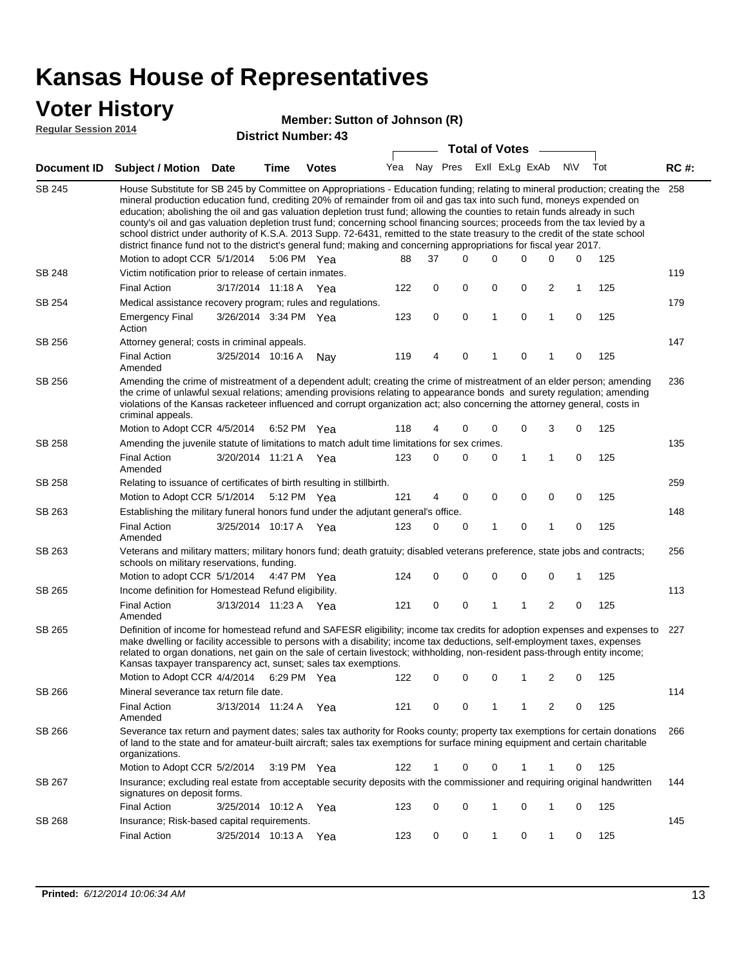### **Voter History**

#### **Member: Sutton of Johnson (R)**

**Regular Session 2014**

| <b>District Number: 43</b> |  |  |  |
|----------------------------|--|--|--|
|----------------------------|--|--|--|

|               |                                                                                                                                                                                                                                                                                                                                                                                                                                                                                                                                                                                                                                                                                                                                                                                                               |                       |             | DISTICT MAILIDEL 49 |     |          |   | <b>Total of Votes</b> |   |                |                         |              |     |             |
|---------------|---------------------------------------------------------------------------------------------------------------------------------------------------------------------------------------------------------------------------------------------------------------------------------------------------------------------------------------------------------------------------------------------------------------------------------------------------------------------------------------------------------------------------------------------------------------------------------------------------------------------------------------------------------------------------------------------------------------------------------------------------------------------------------------------------------------|-----------------------|-------------|---------------------|-----|----------|---|-----------------------|---|----------------|-------------------------|--------------|-----|-------------|
|               | Document ID Subject / Motion Date                                                                                                                                                                                                                                                                                                                                                                                                                                                                                                                                                                                                                                                                                                                                                                             |                       | <b>Time</b> | <b>Votes</b>        | Yea | Nay Pres |   |                       |   | Exll ExLg ExAb |                         | <b>NV</b>    | Tot | <b>RC#:</b> |
| <b>SB 245</b> | House Substitute for SB 245 by Committee on Appropriations - Education funding; relating to mineral production; creating the<br>mineral production education fund, crediting 20% of remainder from oil and gas tax into such fund, moneys expended on<br>education; abolishing the oil and gas valuation depletion trust fund; allowing the counties to retain funds already in such<br>county's oil and gas valuation depletion trust fund; concerning school financing sources; proceeds from the tax levied by a<br>school district under authority of K.S.A. 2013 Supp. 72-6431, remitted to the state treasury to the credit of the state school<br>district finance fund not to the district's general fund; making and concerning appropriations for fiscal year 2017.<br>Motion to adopt CCR 5/1/2014 |                       |             | 5:06 PM Yea         | 88  | 37       |   | $\Omega$              | 0 | 0              | 0                       | 0            | 125 | 258         |
| SB 248        | Victim notification prior to release of certain inmates.                                                                                                                                                                                                                                                                                                                                                                                                                                                                                                                                                                                                                                                                                                                                                      |                       |             |                     |     |          |   |                       |   |                |                         |              |     | 119         |
|               | <b>Final Action</b>                                                                                                                                                                                                                                                                                                                                                                                                                                                                                                                                                                                                                                                                                                                                                                                           | 3/17/2014 11:18 A Yea |             |                     | 122 |          | 0 | 0                     | 0 | 0              | 2                       | $\mathbf{1}$ | 125 |             |
| SB 254        | Medical assistance recovery program; rules and regulations.                                                                                                                                                                                                                                                                                                                                                                                                                                                                                                                                                                                                                                                                                                                                                   |                       |             |                     |     |          |   |                       |   |                |                         |              |     | 179         |
|               | <b>Emergency Final</b><br>Action                                                                                                                                                                                                                                                                                                                                                                                                                                                                                                                                                                                                                                                                                                                                                                              | 3/26/2014 3:34 PM Yea |             |                     | 123 |          | 0 | $\mathbf 0$           | 1 | 0              | $\mathbf{1}$            | 0            | 125 |             |
| SB 256        | Attorney general; costs in criminal appeals.                                                                                                                                                                                                                                                                                                                                                                                                                                                                                                                                                                                                                                                                                                                                                                  |                       |             |                     |     |          |   |                       |   |                |                         |              |     | 147         |
|               | <b>Final Action</b><br>Amended                                                                                                                                                                                                                                                                                                                                                                                                                                                                                                                                                                                                                                                                                                                                                                                | 3/25/2014 10:16 A     |             | Nay                 | 119 |          | 4 | 0                     | 1 | 0              | 1                       | 0            | 125 |             |
| SB 256        | Amending the crime of mistreatment of a dependent adult; creating the crime of mistreatment of an elder person; amending<br>the crime of unlawful sexual relations; amending provisions relating to appearance bonds and surety regulation; amending<br>violations of the Kansas racketeer influenced and corrupt organization act; also concerning the attorney general, costs in<br>criminal appeals.                                                                                                                                                                                                                                                                                                                                                                                                       |                       |             |                     |     |          |   |                       |   |                |                         |              |     | 236         |
|               | Motion to Adopt CCR 4/5/2014 6:52 PM Yea                                                                                                                                                                                                                                                                                                                                                                                                                                                                                                                                                                                                                                                                                                                                                                      |                       |             |                     | 118 |          | 4 | 0                     | 0 | 0              | 3                       | 0            | 125 |             |
| <b>SB 258</b> | Amending the juvenile statute of limitations to match adult time limitations for sex crimes.<br><b>Final Action</b><br>Amended                                                                                                                                                                                                                                                                                                                                                                                                                                                                                                                                                                                                                                                                                | 3/20/2014 11:21 A Yea |             |                     | 123 |          | 0 | 0                     | 0 | 1              | 1                       | 0            | 125 | 135         |
| SB 258        | Relating to issuance of certificates of birth resulting in stillbirth.                                                                                                                                                                                                                                                                                                                                                                                                                                                                                                                                                                                                                                                                                                                                        |                       |             |                     |     |          |   |                       |   |                |                         |              |     | 259         |
|               | Motion to Adopt CCR 5/1/2014 5:12 PM Yea                                                                                                                                                                                                                                                                                                                                                                                                                                                                                                                                                                                                                                                                                                                                                                      |                       |             |                     | 121 |          | 4 | 0                     | 0 | $\mathbf 0$    | 0                       | 0            | 125 |             |
| SB 263        | Establishing the military funeral honors fund under the adjutant general's office.                                                                                                                                                                                                                                                                                                                                                                                                                                                                                                                                                                                                                                                                                                                            |                       |             |                     |     |          |   |                       |   |                |                         |              |     | 148         |
|               | <b>Final Action</b><br>Amended                                                                                                                                                                                                                                                                                                                                                                                                                                                                                                                                                                                                                                                                                                                                                                                | 3/25/2014 10:17 A Yea |             |                     | 123 |          | 0 | 0                     | 1 | 0              | 1                       | 0            | 125 |             |
| SB 263        | Veterans and military matters; military honors fund; death gratuity; disabled veterans preference, state jobs and contracts;<br>schools on military reservations, funding.                                                                                                                                                                                                                                                                                                                                                                                                                                                                                                                                                                                                                                    |                       |             |                     |     |          |   |                       |   |                |                         |              |     | 256         |
|               | Motion to adopt CCR 5/1/2014 4:47 PM Yea                                                                                                                                                                                                                                                                                                                                                                                                                                                                                                                                                                                                                                                                                                                                                                      |                       |             |                     | 124 |          | 0 | 0                     | 0 | 0              | $\mathbf 0$             | 1            | 125 |             |
| SB 265        | Income definition for Homestead Refund eligibility.                                                                                                                                                                                                                                                                                                                                                                                                                                                                                                                                                                                                                                                                                                                                                           |                       |             |                     |     |          |   |                       |   |                |                         |              |     | 113         |
|               | <b>Final Action</b><br>Amended                                                                                                                                                                                                                                                                                                                                                                                                                                                                                                                                                                                                                                                                                                                                                                                | 3/13/2014 11:23 A Yea |             |                     | 121 |          | 0 | 0                     | 1 | 1              | $\overline{\mathbf{c}}$ | 0            | 125 |             |
| SB 265        | Definition of income for homestead refund and SAFESR eligibility; income tax credits for adoption expenses and expenses to<br>make dwelling or facility accessible to persons with a disability; income tax deductions, self-employment taxes, expenses<br>related to organ donations, net gain on the sale of certain livestock; withholding, non-resident pass-through entity income;<br>Kansas taxpayer transparency act, sunset; sales tax exemptions.                                                                                                                                                                                                                                                                                                                                                    |                       |             |                     |     |          |   |                       |   |                |                         |              |     | 227         |
|               | Motion to Adopt CCR 4/4/2014                                                                                                                                                                                                                                                                                                                                                                                                                                                                                                                                                                                                                                                                                                                                                                                  |                       |             | 6:29 PM Yea         | 122 |          | 0 | 0                     | 0 | 1              | 2                       | 0            | 125 |             |
| SB 266        | Mineral severance tax return file date.                                                                                                                                                                                                                                                                                                                                                                                                                                                                                                                                                                                                                                                                                                                                                                       |                       |             |                     |     |          |   |                       |   |                |                         |              |     | 114         |
|               | <b>Final Action</b><br>Amended                                                                                                                                                                                                                                                                                                                                                                                                                                                                                                                                                                                                                                                                                                                                                                                | 3/13/2014 11:24 A     |             | Yea                 | 121 |          | 0 | 0                     | 1 | 1              | 2                       | 0            | 125 |             |
| SB 266        | Severance tax return and payment dates; sales tax authority for Rooks county; property tax exemptions for certain donations<br>of land to the state and for amateur-built aircraft; sales tax exemptions for surface mining equipment and certain charitable<br>organizations.                                                                                                                                                                                                                                                                                                                                                                                                                                                                                                                                |                       |             |                     |     |          |   |                       |   |                |                         |              |     | 266         |
|               | Motion to Adopt CCR 5/2/2014                                                                                                                                                                                                                                                                                                                                                                                                                                                                                                                                                                                                                                                                                                                                                                                  |                       |             | 3:19 PM Yea         | 122 |          | 1 | 0                     | 0 | 1              | 1                       | 0            | 125 |             |
| SB 267        | Insurance; excluding real estate from acceptable security deposits with the commissioner and requiring original handwritten<br>signatures on deposit forms.                                                                                                                                                                                                                                                                                                                                                                                                                                                                                                                                                                                                                                                   |                       |             |                     |     |          |   |                       |   |                |                         |              |     | 144         |
|               | <b>Final Action</b>                                                                                                                                                                                                                                                                                                                                                                                                                                                                                                                                                                                                                                                                                                                                                                                           | 3/25/2014 10:12 A     |             | Yea                 | 123 |          | 0 | 0                     | 1 | 0              | 1                       | 0            | 125 |             |
| SB 268        | Insurance; Risk-based capital requirements.                                                                                                                                                                                                                                                                                                                                                                                                                                                                                                                                                                                                                                                                                                                                                                   |                       |             |                     |     |          |   |                       |   |                |                         |              |     | 145         |
|               | <b>Final Action</b>                                                                                                                                                                                                                                                                                                                                                                                                                                                                                                                                                                                                                                                                                                                                                                                           | 3/25/2014 10:13 A     |             | Yea                 | 123 |          | 0 | 0                     | 1 | 0              | 1                       | 0            | 125 |             |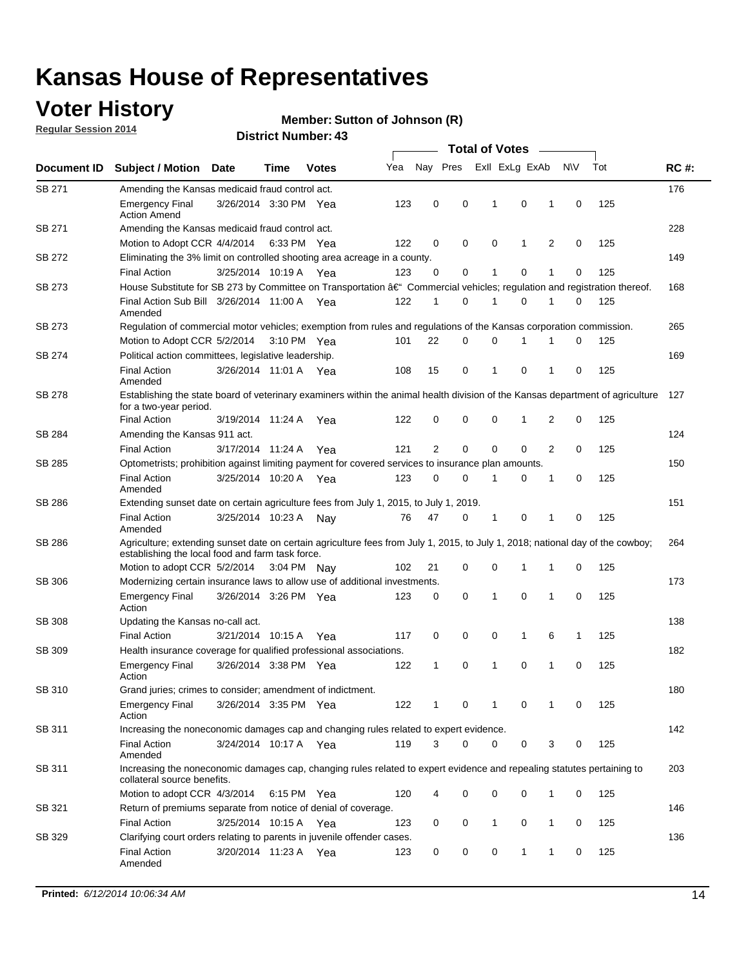### **Voter History**

**Regular Session 2014**

#### **Member: Sutton of Johnson (R)**

|               |                                                                                                                                                                                    |                       |             |              |     |                |          | <b>Total of Votes</b> |                         |                |             |     |             |
|---------------|------------------------------------------------------------------------------------------------------------------------------------------------------------------------------------|-----------------------|-------------|--------------|-----|----------------|----------|-----------------------|-------------------------|----------------|-------------|-----|-------------|
| Document ID   | <b>Subject / Motion Date</b>                                                                                                                                                       |                       | Time        | <b>Votes</b> | Yea |                |          |                       | Nay Pres Exll ExLg ExAb |                | <b>NV</b>   | Tot | <b>RC#:</b> |
| SB 271        | Amending the Kansas medicaid fraud control act.                                                                                                                                    |                       |             |              |     |                |          |                       |                         |                |             |     | 176         |
|               | <b>Emergency Final</b><br><b>Action Amend</b>                                                                                                                                      | 3/26/2014 3:30 PM Yea |             |              | 123 | 0              | 0        | 1                     | $\mathbf 0$             | 1              | $\mathbf 0$ | 125 |             |
| SB 271        | Amending the Kansas medicaid fraud control act.                                                                                                                                    |                       |             |              |     |                |          |                       |                         |                |             |     | 228         |
|               | Motion to Adopt CCR 4/4/2014 6:33 PM Yea                                                                                                                                           |                       |             |              | 122 | 0              | 0        | $\mathbf 0$           | 1                       | 2              | 0           | 125 |             |
| SB 272        | Eliminating the 3% limit on controlled shooting area acreage in a county.                                                                                                          |                       |             |              |     |                |          |                       |                         |                |             |     | 149         |
|               | <b>Final Action</b>                                                                                                                                                                | 3/25/2014 10:19 A Yea |             |              | 123 | 0              | 0        | 1                     | $\mathbf 0$             | 1              | 0           | 125 |             |
| SB 273        | House Substitute for SB 273 by Committee on Transportation †Commercial vehicles; regulation and registration thereof.                                                              |                       |             |              |     |                |          |                       |                         |                |             |     | 168         |
|               | Final Action Sub Bill 3/26/2014 11:00 A Yea<br>Amended                                                                                                                             |                       |             |              | 122 | 1              | 0        | 1                     | $\mathbf 0$             | 1              | 0           | 125 |             |
| SB 273        | Regulation of commercial motor vehicles; exemption from rules and regulations of the Kansas corporation commission.                                                                |                       |             |              |     |                |          |                       |                         |                |             |     | 265         |
|               | Motion to Adopt CCR 5/2/2014                                                                                                                                                       |                       | 3:10 PM Yea |              | 101 | 22             | 0        | 0                     |                         |                | 0           | 125 |             |
| SB 274        | Political action committees, legislative leadership.                                                                                                                               |                       |             |              |     |                |          |                       |                         |                |             |     | 169         |
|               | <b>Final Action</b><br>Amended                                                                                                                                                     | 3/26/2014 11:01 A Yea |             |              | 108 | 15             | 0        | 1                     | $\mathbf 0$             | 1              | 0           | 125 |             |
| SB 278        | Establishing the state board of veterinary examiners within the animal health division of the Kansas department of agriculture<br>for a two-year period.                           |                       |             |              |     |                |          |                       |                         |                |             |     | 127         |
|               | <b>Final Action</b>                                                                                                                                                                | 3/19/2014 11:24 A     |             | Yea          | 122 | 0              | 0        | 0                     | 1                       | 2              | 0           | 125 |             |
| SB 284        | Amending the Kansas 911 act.                                                                                                                                                       |                       |             |              |     |                |          |                       |                         |                |             |     | 124         |
|               | <b>Final Action</b>                                                                                                                                                                | 3/17/2014 11:24 A     |             | Yea          | 121 | $\overline{2}$ | 0        | $\mathbf 0$           | $\mathbf 0$             | $\overline{2}$ | $\mathbf 0$ | 125 |             |
| SB 285        | Optometrists; prohibition against limiting payment for covered services to insurance plan amounts.                                                                                 |                       |             |              |     |                |          |                       |                         |                |             |     | 150         |
|               | <b>Final Action</b><br>Amended                                                                                                                                                     | 3/25/2014 10:20 A Yea |             |              | 123 | 0              | 0        | 1                     | 0                       | 1              | 0           | 125 |             |
| SB 286        | Extending sunset date on certain agriculture fees from July 1, 2015, to July 1, 2019.                                                                                              |                       |             |              |     |                |          |                       |                         |                |             |     | 151         |
|               | <b>Final Action</b><br>Amended                                                                                                                                                     | 3/25/2014 10:23 A     |             | Nav          | 76  | 47             | 0        | 1                     | 0                       | 1              | $\mathbf 0$ | 125 |             |
| SB 286        | Agriculture; extending sunset date on certain agriculture fees from July 1, 2015, to July 1, 2018; national day of the cowboy;<br>establishing the local food and farm task force. |                       |             |              |     |                |          |                       |                         |                |             |     | 264         |
|               | Motion to adopt CCR 5/2/2014 3:04 PM Nav                                                                                                                                           |                       |             |              | 102 | 21             | 0        | 0                     | 1                       | 1              | 0           | 125 |             |
| SB 306        | Modernizing certain insurance laws to allow use of additional investments.                                                                                                         |                       |             |              |     |                |          |                       |                         |                |             |     | 173         |
|               | <b>Emergency Final</b><br>Action                                                                                                                                                   | 3/26/2014 3:26 PM Yea |             |              | 123 | 0              | 0        | 1                     | 0                       | 1              | $\mathbf 0$ | 125 |             |
| <b>SB 308</b> | Updating the Kansas no-call act.                                                                                                                                                   |                       |             |              |     |                |          |                       |                         |                |             |     | 138         |
|               | <b>Final Action</b>                                                                                                                                                                | 3/21/2014 10:15 A     |             | Yea          | 117 | 0              | 0        | 0                     | 1                       | 6              | 1           | 125 |             |
| SB 309        | Health insurance coverage for qualified professional associations.                                                                                                                 |                       |             |              |     |                |          |                       |                         |                |             |     | 182         |
|               | <b>Emergency Final</b><br>Action                                                                                                                                                   | 3/26/2014 3:38 PM Yea |             |              | 122 | 1              | 0        | 1                     | $\mathbf 0$             | 1              | $\mathbf 0$ | 125 |             |
| SB 310        | Grand juries; crimes to consider; amendment of indictment.                                                                                                                         |                       |             |              |     |                |          |                       |                         |                |             |     | 180         |
|               | <b>Emergency Final</b><br>Action                                                                                                                                                   | 3/26/2014 3:35 PM Yea |             |              | 122 | 1              | 0        | 1                     | 0                       | 1              | 0           | 125 |             |
| SB 311        | Increasing the noneconomic damages cap and changing rules related to expert evidence.                                                                                              |                       |             |              |     |                |          |                       |                         |                |             |     | 142         |
|               | <b>Final Action</b><br>Amended                                                                                                                                                     | 3/24/2014 10:17 A Yea |             |              | 119 | 3              | $\Omega$ | 0                     | 0                       | 3              | 0           | 125 |             |
| SB 311        | Increasing the noneconomic damages cap, changing rules related to expert evidence and repealing statutes pertaining to<br>collateral source benefits.                              |                       |             |              |     |                |          |                       |                         |                |             |     | 203         |
|               | Motion to adopt CCR 4/3/2014 6:15 PM Yea                                                                                                                                           |                       |             |              | 120 | 4              | 0        | 0                     | 0                       | 1              | 0           | 125 |             |
| SB 321        | Return of premiums separate from notice of denial of coverage.                                                                                                                     |                       |             |              |     |                |          |                       |                         |                |             |     | 146         |
|               | <b>Final Action</b>                                                                                                                                                                | 3/25/2014 10:15 A Yea |             |              | 123 | 0              | 0        | 1                     | 0                       | 1              | 0           | 125 |             |
| SB 329        | Clarifying court orders relating to parents in juvenile offender cases.<br><b>Final Action</b>                                                                                     | 3/20/2014 11:23 A Yea |             |              | 123 | 0              | 0        | 0                     | 1                       | $\mathbf{1}$   | 0           | 125 | 136         |
|               | Amended                                                                                                                                                                            |                       |             |              |     |                |          |                       |                         |                |             |     |             |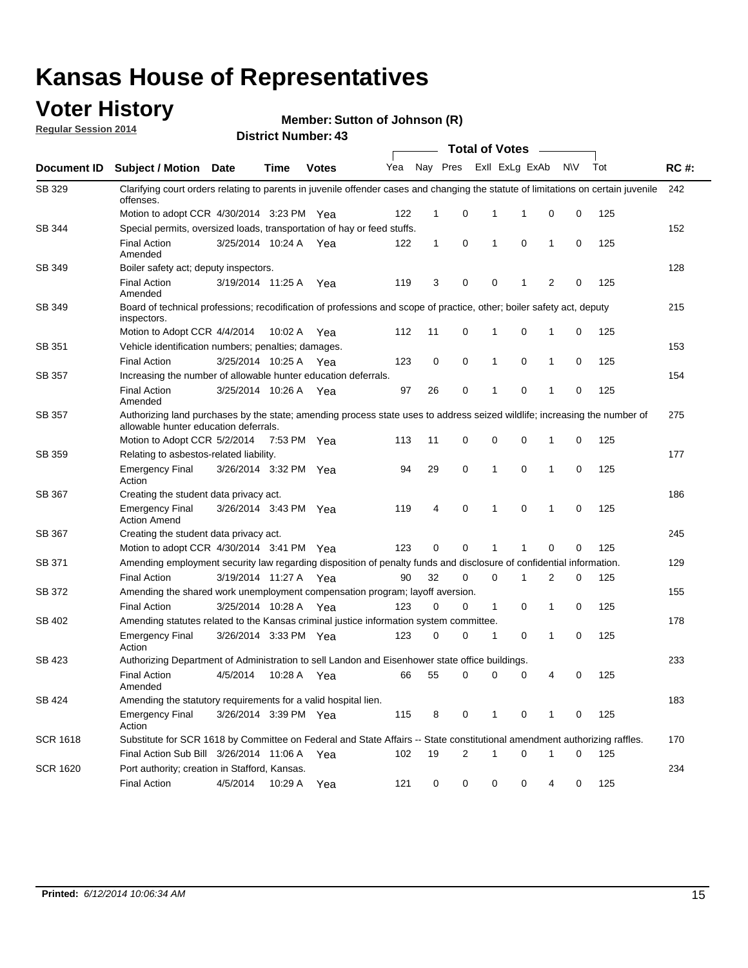### **Voter History**

**Regular Session 2014**

#### **Member: Sutton of Johnson (R)**

|                 |                                                                                                                                                                    |                       |             |              |     |              |                | <b>Total of Votes</b>   |             |              |           |     |             |
|-----------------|--------------------------------------------------------------------------------------------------------------------------------------------------------------------|-----------------------|-------------|--------------|-----|--------------|----------------|-------------------------|-------------|--------------|-----------|-----|-------------|
| Document ID     | <b>Subject / Motion Date</b>                                                                                                                                       |                       | Time        | <b>Votes</b> | Yea |              |                | Nay Pres ExII ExLg ExAb |             |              | <b>NV</b> | Tot | <b>RC#:</b> |
| SB 329          | Clarifying court orders relating to parents in juvenile offender cases and changing the statute of limitations on certain juvenile<br>offenses.                    |                       |             |              |     |              |                |                         |             |              |           |     | 242         |
|                 | Motion to adopt CCR 4/30/2014 3:23 PM Yea                                                                                                                          |                       |             |              | 122 | $\mathbf 1$  | 0              | 1                       | -1          | $\mathbf 0$  | 0         | 125 |             |
| SB 344          | Special permits, oversized loads, transportation of hay or feed stuffs.                                                                                            |                       |             |              |     |              |                |                         |             |              |           |     | 152         |
|                 | <b>Final Action</b><br>Amended                                                                                                                                     | 3/25/2014 10:24 A     |             | Yea          | 122 | $\mathbf{1}$ | 0              | 1                       | $\mathbf 0$ | $\mathbf{1}$ | 0         | 125 |             |
| SB 349          | Boiler safety act; deputy inspectors.                                                                                                                              |                       |             |              |     |              |                |                         |             |              |           |     | 128         |
|                 | <b>Final Action</b><br>Amended                                                                                                                                     | 3/19/2014 11:25 A     |             | Yea          | 119 | 3            | 0              | 0                       | 1           | 2            | 0         | 125 |             |
| <b>SB 349</b>   | Board of technical professions; recodification of professions and scope of practice, other; boiler safety act, deputy<br>inspectors.                               |                       |             |              |     |              |                |                         |             |              |           |     | 215         |
|                 | Motion to Adopt CCR 4/4/2014                                                                                                                                       |                       | 10:02 A     | Yea          | 112 | 11           | 0              | 1                       | 0           | 1            | 0         | 125 |             |
| SB 351          | Vehicle identification numbers; penalties; damages.                                                                                                                |                       |             |              |     |              |                |                         |             |              |           |     | 153         |
|                 | <b>Final Action</b>                                                                                                                                                | 3/25/2014 10:25 A     |             | Yea          | 123 | 0            | 0              | 1                       | 0           | 1            | 0         | 125 |             |
| <b>SB 357</b>   | Increasing the number of allowable hunter education deferrals.                                                                                                     |                       |             |              |     |              |                |                         |             |              |           |     | 154         |
|                 | <b>Final Action</b><br>Amended                                                                                                                                     | 3/25/2014 10:26 A     |             | Yea          | 97  | 26           | 0              | 1                       | 0           | 1            | 0         | 125 |             |
| SB 357          | Authorizing land purchases by the state; amending process state uses to address seized wildlife; increasing the number of<br>allowable hunter education deferrals. |                       |             |              |     |              |                |                         |             |              |           |     | 275         |
|                 | Motion to Adopt CCR 5/2/2014                                                                                                                                       |                       | 7:53 PM Yea |              | 113 | 11           | 0              | 0                       | 0           | 1            | 0         | 125 |             |
| SB 359          | Relating to asbestos-related liability.                                                                                                                            |                       |             |              |     |              |                |                         |             |              |           |     | 177         |
|                 | <b>Emergency Final</b><br>Action                                                                                                                                   | 3/26/2014 3:32 PM Yea |             |              | 94  | 29           | 0              | 1                       | 0           | 1            | 0         | 125 |             |
| SB 367          | Creating the student data privacy act.                                                                                                                             |                       |             |              |     |              |                |                         |             |              |           |     | 186         |
|                 | <b>Emergency Final</b><br><b>Action Amend</b>                                                                                                                      | 3/26/2014 3:43 PM Yea |             |              | 119 | 4            | 0              | 1                       | 0           | 1            | 0         | 125 |             |
| <b>SB 367</b>   | Creating the student data privacy act.                                                                                                                             |                       |             |              |     |              |                |                         |             |              |           |     | 245         |
|                 | Motion to adopt CCR 4/30/2014 3:41 PM Yea                                                                                                                          |                       |             |              | 123 | 0            | 0              | 1                       | 1           | 0            | 0         | 125 |             |
| SB 371          | Amending employment security law regarding disposition of penalty funds and disclosure of confidential information.                                                |                       |             |              |     |              |                |                         |             |              |           |     | 129         |
|                 | <b>Final Action</b>                                                                                                                                                | 3/19/2014 11:27 A Yea |             |              | 90  | 32           | 0              | $\mathbf 0$             | 1           | 2            | 0         | 125 |             |
| SB 372          | Amending the shared work unemployment compensation program; layoff aversion.                                                                                       |                       |             |              |     |              |                |                         |             |              |           |     | 155         |
|                 | <b>Final Action</b>                                                                                                                                                | 3/25/2014 10:28 A     |             | Yea          | 123 | 0            | 0              | $\mathbf{1}$            | 0           | 1            | 0         | 125 |             |
| SB 402          | Amending statutes related to the Kansas criminal justice information system committee.                                                                             |                       |             |              |     |              |                |                         |             |              |           |     | 178         |
|                 | <b>Emergency Final</b><br>Action                                                                                                                                   | 3/26/2014 3:33 PM Yea |             |              | 123 | 0            | 0              | 1                       | 0           | 1            | 0         | 125 |             |
| SB 423          | Authorizing Department of Administration to sell Landon and Eisenhower state office buildings.                                                                     |                       |             |              |     |              |                |                         |             |              |           |     | 233         |
|                 | <b>Final Action</b><br>Amended                                                                                                                                     | 4/5/2014              | 10:28 A     | Yea          | 66  | 55           | 0              | 0                       | 0           | 4            | 0         | 125 |             |
| SB 424          | Amending the statutory requirements for a valid hospital lien.                                                                                                     |                       |             |              |     |              |                |                         |             |              |           |     | 183         |
|                 | <b>Emergency Final</b><br>Action                                                                                                                                   | 3/26/2014 3:39 PM Yea |             |              | 115 | 8            | 0              | 1                       | 0           | 1            | 0         | 125 |             |
| <b>SCR 1618</b> | Substitute for SCR 1618 by Committee on Federal and State Affairs -- State constitutional amendment authorizing raffles.                                           |                       |             |              |     |              |                |                         |             |              |           |     | 170         |
|                 | Final Action Sub Bill 3/26/2014 11:06 A Yea                                                                                                                        |                       |             |              | 102 | 19           | $\overline{2}$ | 1                       | 0           | 1            | 0         | 125 |             |
| <b>SCR 1620</b> | Port authority; creation in Stafford, Kansas.                                                                                                                      |                       |             |              |     |              |                |                         |             |              |           |     | 234         |
|                 | <b>Final Action</b>                                                                                                                                                | 4/5/2014              | 10:29 A Yea |              | 121 | 0            | 0              | 0                       | 0           | 4            | 0         | 125 |             |